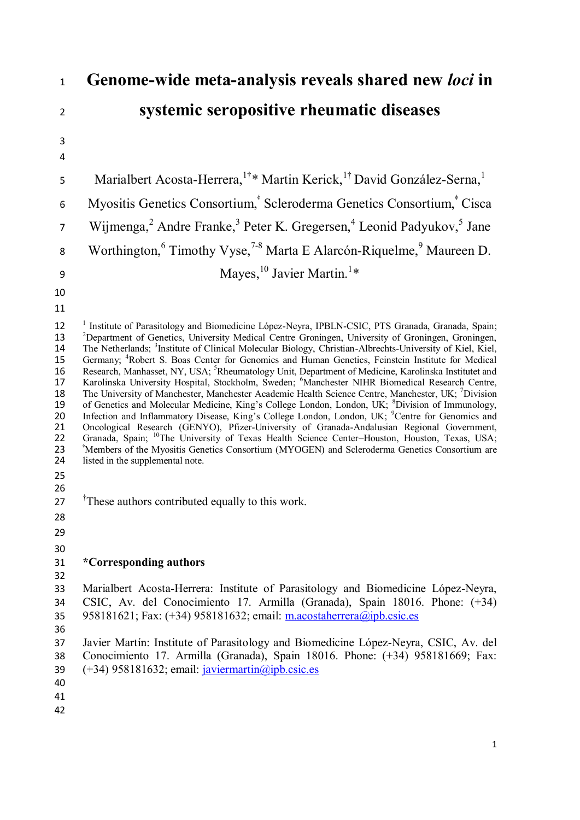| $\mathbf{1}$                                                               | Genome-wide meta-analysis reveals shared new loci in                                                                                                                                                                                                                                                                                                                                                                                                                                                                                                                                                                                                                                                                                                                                                                                                                                                                                                                                                                                                                                                                                                                                                                                                                                                                                                                                                             |
|----------------------------------------------------------------------------|------------------------------------------------------------------------------------------------------------------------------------------------------------------------------------------------------------------------------------------------------------------------------------------------------------------------------------------------------------------------------------------------------------------------------------------------------------------------------------------------------------------------------------------------------------------------------------------------------------------------------------------------------------------------------------------------------------------------------------------------------------------------------------------------------------------------------------------------------------------------------------------------------------------------------------------------------------------------------------------------------------------------------------------------------------------------------------------------------------------------------------------------------------------------------------------------------------------------------------------------------------------------------------------------------------------------------------------------------------------------------------------------------------------|
| $\overline{2}$                                                             | systemic seropositive rheumatic diseases                                                                                                                                                                                                                                                                                                                                                                                                                                                                                                                                                                                                                                                                                                                                                                                                                                                                                                                                                                                                                                                                                                                                                                                                                                                                                                                                                                         |
| 3                                                                          |                                                                                                                                                                                                                                                                                                                                                                                                                                                                                                                                                                                                                                                                                                                                                                                                                                                                                                                                                                                                                                                                                                                                                                                                                                                                                                                                                                                                                  |
| 4                                                                          |                                                                                                                                                                                                                                                                                                                                                                                                                                                                                                                                                                                                                                                                                                                                                                                                                                                                                                                                                                                                                                                                                                                                                                                                                                                                                                                                                                                                                  |
| 5                                                                          | Marialbert Acosta-Herrera, <sup>1†</sup> * Martin Kerick, <sup>1†</sup> David González-Serna, <sup>1</sup>                                                                                                                                                                                                                                                                                                                                                                                                                                                                                                                                                                                                                                                                                                                                                                                                                                                                                                                                                                                                                                                                                                                                                                                                                                                                                                       |
| 6                                                                          | Myositis Genetics Consortium, <sup>*</sup> Scleroderma Genetics Consortium, <sup>*</sup> Cisca                                                                                                                                                                                                                                                                                                                                                                                                                                                                                                                                                                                                                                                                                                                                                                                                                                                                                                                                                                                                                                                                                                                                                                                                                                                                                                                   |
| $\overline{7}$                                                             | Wijmenga, <sup>2</sup> Andre Franke, <sup>3</sup> Peter K. Gregersen, <sup>4</sup> Leonid Padyukov, <sup>5</sup> Jane                                                                                                                                                                                                                                                                                                                                                                                                                                                                                                                                                                                                                                                                                                                                                                                                                                                                                                                                                                                                                                                                                                                                                                                                                                                                                            |
| 8                                                                          | Worthington, <sup>6</sup> Timothy Vyse, <sup>7-8</sup> Marta E Alarcón-Riquelme, <sup>9</sup> Maureen D.                                                                                                                                                                                                                                                                                                                                                                                                                                                                                                                                                                                                                                                                                                                                                                                                                                                                                                                                                                                                                                                                                                                                                                                                                                                                                                         |
| 9                                                                          | Mayes, $^{10}$ Javier Martin. <sup>1*</sup>                                                                                                                                                                                                                                                                                                                                                                                                                                                                                                                                                                                                                                                                                                                                                                                                                                                                                                                                                                                                                                                                                                                                                                                                                                                                                                                                                                      |
| 10                                                                         |                                                                                                                                                                                                                                                                                                                                                                                                                                                                                                                                                                                                                                                                                                                                                                                                                                                                                                                                                                                                                                                                                                                                                                                                                                                                                                                                                                                                                  |
| 11                                                                         |                                                                                                                                                                                                                                                                                                                                                                                                                                                                                                                                                                                                                                                                                                                                                                                                                                                                                                                                                                                                                                                                                                                                                                                                                                                                                                                                                                                                                  |
| 12<br>13<br>14<br>15<br>16<br>17<br>18<br>19<br>20<br>21<br>22<br>23<br>24 | <sup>1</sup> Institute of Parasitology and Biomedicine López-Neyra, IPBLN-CSIC, PTS Granada, Granada, Spain;<br><sup>2</sup> Department of Genetics, University Medical Centre Groningen, University of Groningen, Groningen,<br>The Netherlands; <sup>3</sup> Institute of Clinical Molecular Biology, Christian-Albrechts-University of Kiel, Kiel,<br>Germany, <sup>4</sup> Robert S. Boas Center for Genomics and Human Genetics, Feinstein Institute for Medical<br>Research, Manhasset, NY, USA; <sup>5</sup> Rheumatology Unit, Department of Medicine, Karolinska Institutet and<br>Karolinska University Hospital, Stockholm, Sweden; <sup>6</sup> Manchester NIHR Biomedical Research Centre,<br>The University of Manchester, Manchester Academic Health Science Centre, Manchester, UK; <sup>7</sup> Division<br>of Genetics and Molecular Medicine, King's College London, London, UK; <sup>8</sup> Division of Immunology, Infection and Inflammatory Disease, King's College London, London, UK; <sup>9</sup> Centre for Genomics and<br>Oncological Research (GENYO), Pfizer-University of Granada-Andalusian Regional Government,<br>Granada, Spain; <sup>10</sup> The University of Texas Health Science Center-Houston, Houston, Texas, USA;<br><sup>*</sup> Members of the Myositis Genetics Consortium (MYOGEN) and Scleroderma Genetics Consortium are<br>listed in the supplemental note. |
| 25<br>26<br>27<br>28<br>29                                                 | <sup>†</sup> These authors contributed equally to this work.                                                                                                                                                                                                                                                                                                                                                                                                                                                                                                                                                                                                                                                                                                                                                                                                                                                                                                                                                                                                                                                                                                                                                                                                                                                                                                                                                     |
| 30                                                                         |                                                                                                                                                                                                                                                                                                                                                                                                                                                                                                                                                                                                                                                                                                                                                                                                                                                                                                                                                                                                                                                                                                                                                                                                                                                                                                                                                                                                                  |
| 31                                                                         | *Corresponding authors                                                                                                                                                                                                                                                                                                                                                                                                                                                                                                                                                                                                                                                                                                                                                                                                                                                                                                                                                                                                                                                                                                                                                                                                                                                                                                                                                                                           |
| 32<br>33                                                                   | Marialbert Acosta-Herrera: Institute of Parasitology and Biomedicine López-Neyra,                                                                                                                                                                                                                                                                                                                                                                                                                                                                                                                                                                                                                                                                                                                                                                                                                                                                                                                                                                                                                                                                                                                                                                                                                                                                                                                                |
| 34                                                                         | CSIC, Av. del Conocimiento 17. Armilla (Granada), Spain 18016. Phone: (+34)                                                                                                                                                                                                                                                                                                                                                                                                                                                                                                                                                                                                                                                                                                                                                                                                                                                                                                                                                                                                                                                                                                                                                                                                                                                                                                                                      |
| 35<br>36                                                                   | 958181621; Fax: (+34) 958181632; email: m.acostaherrera@ipb.csic.es                                                                                                                                                                                                                                                                                                                                                                                                                                                                                                                                                                                                                                                                                                                                                                                                                                                                                                                                                                                                                                                                                                                                                                                                                                                                                                                                              |
| 37                                                                         | Javier Martín: Institute of Parasitology and Biomedicine López-Neyra, CSIC, Av. del                                                                                                                                                                                                                                                                                                                                                                                                                                                                                                                                                                                                                                                                                                                                                                                                                                                                                                                                                                                                                                                                                                                                                                                                                                                                                                                              |
| 38<br>39<br>40<br>41<br>42                                                 | Conocimiento 17. Armilla (Granada), Spain 18016. Phone: (+34) 958181669; Fax:<br>$(+34)$ 958181632; email: $\frac{i}{\text{aviermartin}}(a)\text{ipb.csic.es}$                                                                                                                                                                                                                                                                                                                                                                                                                                                                                                                                                                                                                                                                                                                                                                                                                                                                                                                                                                                                                                                                                                                                                                                                                                                   |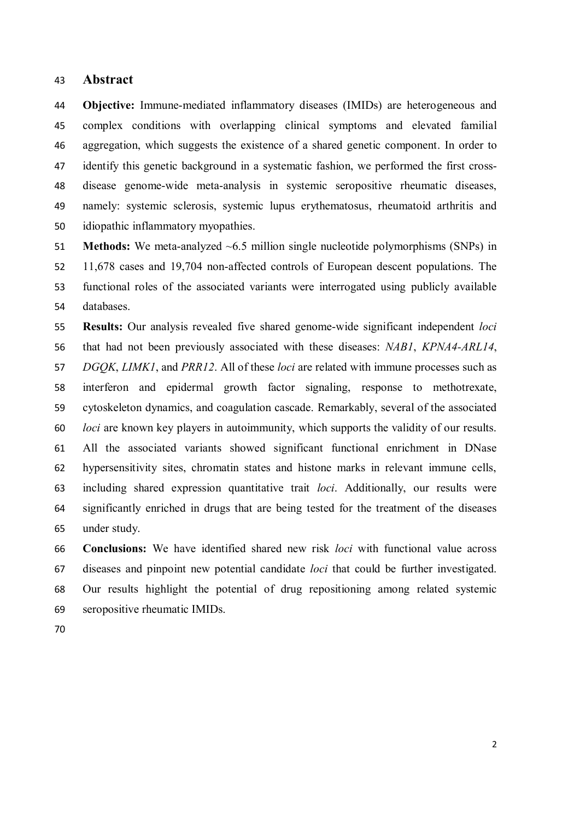#### **Abstract**

 **Objective:** Immune-mediated inflammatory diseases (IMIDs) are heterogeneous and complex conditions with overlapping clinical symptoms and elevated familial aggregation, which suggests the existence of a shared genetic component. In order to identify this genetic background in a systematic fashion, we performed the first cross- disease genome-wide meta-analysis in systemic seropositive rheumatic diseases, namely: systemic sclerosis, systemic lupus erythematosus, rheumatoid arthritis and idiopathic inflammatory myopathies.

 **Methods:** We meta-analyzed ~6.5 million single nucleotide polymorphisms (SNPs) in 11,678 cases and 19,704 non-affected controls of European descent populations. The functional roles of the associated variants were interrogated using publicly available databases.

 **Results:** Our analysis revealed five shared genome-wide significant independent *loci* that had not been previously associated with these diseases: *NAB1*, *KPNA4-ARL14*, *DGQK*, *LIMK1*, and *PRR12*. All of these *loci* are related with immune processes such as interferon and epidermal growth factor signaling, response to methotrexate, cytoskeleton dynamics, and coagulation cascade. Remarkably, several of the associated *loci* are known key players in autoimmunity, which supports the validity of our results. All the associated variants showed significant functional enrichment in DNase hypersensitivity sites, chromatin states and histone marks in relevant immune cells, including shared expression quantitative trait *loci*. Additionally, our results were significantly enriched in drugs that are being tested for the treatment of the diseases under study.

 **Conclusions:** We have identified shared new risk *loci* with functional value across diseases and pinpoint new potential candidate *loci* that could be further investigated. Our results highlight the potential of drug repositioning among related systemic seropositive rheumatic IMIDs.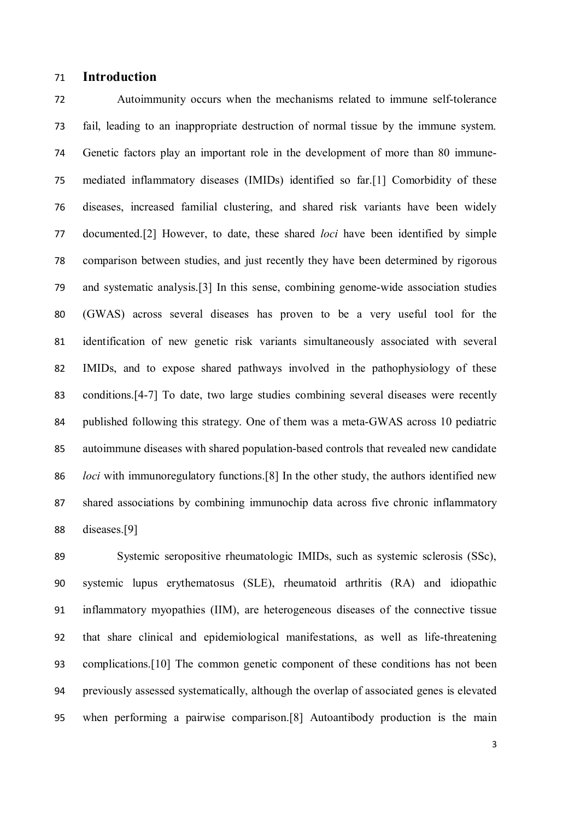## **Introduction**

 Autoimmunity occurs when the mechanisms related to immune self-tolerance fail, leading to an inappropriate destruction of normal tissue by the immune system. Genetic factors play an important role in the development of more than 80 immune- mediated inflammatory diseases (IMIDs) identified so far.[1] Comorbidity of these diseases, increased familial clustering, and shared risk variants have been widely documented.[2] However, to date, these shared *loci* have been identified by simple comparison between studies, and just recently they have been determined by rigorous and systematic analysis.[3] In this sense, combining genome-wide association studies (GWAS) across several diseases has proven to be a very useful tool for the identification of new genetic risk variants simultaneously associated with several IMIDs, and to expose shared pathways involved in the pathophysiology of these conditions.[4-7] To date, two large studies combining several diseases were recently published following this strategy. One of them was a meta-GWAS across 10 pediatric autoimmune diseases with shared population-based controls that revealed new candidate *loci* with immunoregulatory functions.[8] In the other study, the authors identified new shared associations by combining immunochip data across five chronic inflammatory diseases.[9]

 Systemic seropositive rheumatologic IMIDs, such as systemic sclerosis (SSc), systemic lupus erythematosus (SLE), rheumatoid arthritis (RA) and idiopathic inflammatory myopathies (IIM), are heterogeneous diseases of the connective tissue that share clinical and epidemiological manifestations, as well as life-threatening complications.[10] The common genetic component of these conditions has not been previously assessed systematically, although the overlap of associated genes is elevated when performing a pairwise comparison.[8] Autoantibody production is the main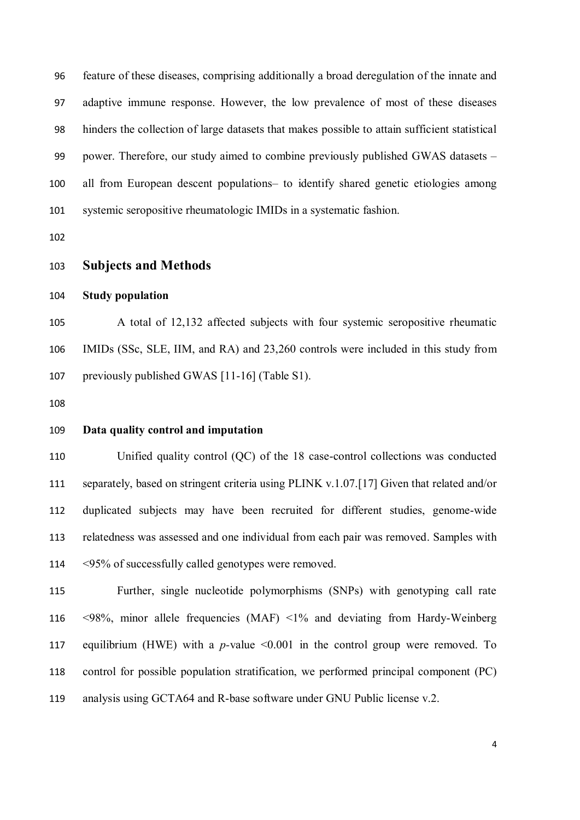feature of these diseases, comprising additionally a broad deregulation of the innate and adaptive immune response. However, the low prevalence of most of these diseases hinders the collection of large datasets that makes possible to attain sufficient statistical power. Therefore, our study aimed to combine previously published GWAS datasets – all from European descent populations– to identify shared genetic etiologies among systemic seropositive rheumatologic IMIDs in a systematic fashion.

**Subjects and Methods**

```
104 Study population
```
 A total of 12,132 affected subjects with four systemic seropositive rheumatic IMIDs (SSc, SLE, IIM, and RA) and 23,260 controls were included in this study from previously published GWAS [11-16] (Table S1).

#### **Data quality control and imputation**

 Unified quality control (QC) of the 18 case-control collections was conducted separately, based on stringent criteria using PLINK v.1.07.[17] Given that related and/or duplicated subjects may have been recruited for different studies, genome-wide relatedness was assessed and one individual from each pair was removed. Samples with <95% of successfully called genotypes were removed.

 Further, single nucleotide polymorphisms (SNPs) with genotyping call rate <98%, minor allele frequencies (MAF) <1% and deviating from Hardy-Weinberg equilibrium (HWE) with a *p-*value <0.001 in the control group were removed. To control for possible population stratification, we performed principal component (PC) analysis using GCTA64 and R-base software under GNU Public license v.2.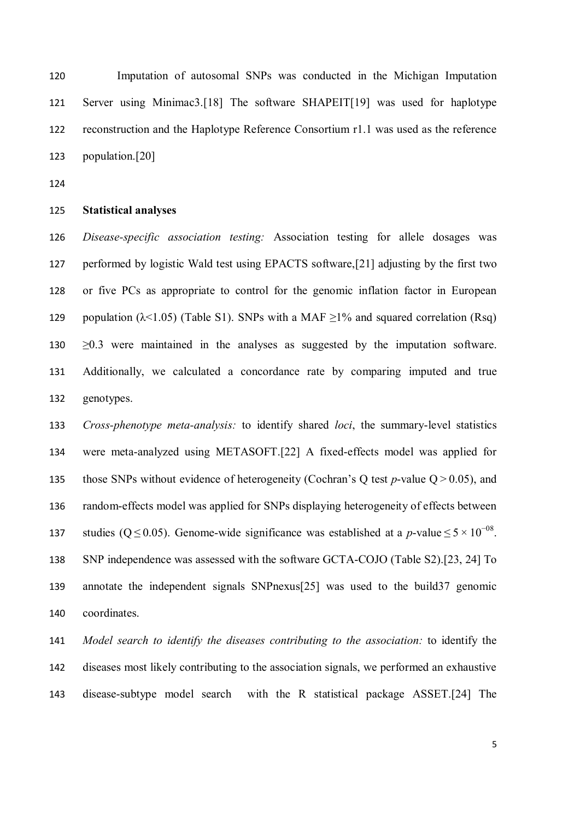Imputation of autosomal SNPs was conducted in the Michigan Imputation Server using Minimac3.[18] The software SHAPEIT[19] was used for haplotype reconstruction and the Haplotype Reference Consortium r1.1 was used as the reference population.[20]

#### **Statistical analyses**

 *Disease-specific association testing:* Association testing for allele dosages was performed by logistic Wald test using EPACTS software,[21] adjusting by the first two or five PCs as appropriate to control for the genomic inflation factor in European 129 population ( $\lambda$ <1.05) (Table S1). SNPs with a MAF  $\geq$ 1% and squared correlation (Rsq) ≥0.3 were maintained in the analyses as suggested by the imputation software. Additionally, we calculated a concordance rate by comparing imputed and true genotypes.

 *Cross-phenotype meta-analysis:* to identify shared *loci*, the summary-level statistics were meta-analyzed using METASOFT.[22] A fixed-effects model was applied for those SNPs without evidence of heterogeneity (Cochran's Q test *p*-value Q > 0.05), and random-effects model was applied for SNPs displaying heterogeneity of effects between 137 studies (Q ≤ 0.05). Genome-wide significance was established at a *p*-value ≤  $5 \times 10^{-08}$ . SNP independence was assessed with the software GCTA-COJO (Table S2).[23, 24] To annotate the independent signals SNPnexus[25] was used to the build37 genomic coordinates.

 *Model search to identify the diseases contributing to the association:* to identify the diseases most likely contributing to the association signals, we performed an exhaustive disease-subtype model search with the R statistical package ASSET.[24] The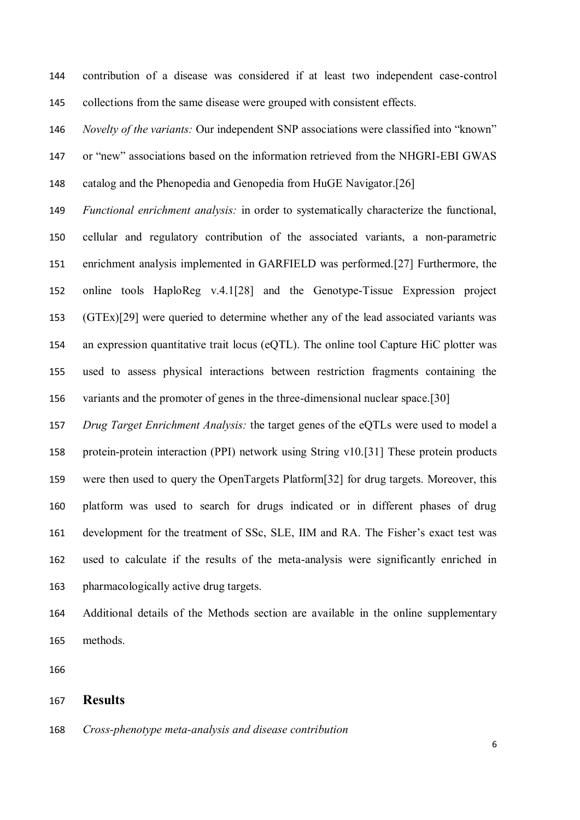contribution of a disease was considered if at least two independent case-control collections from the same disease were grouped with consistent effects.

 *Novelty of the variants:* Our independent SNP associations were classified into "known" or "new" associations based on the information retrieved from the NHGRI-EBI GWAS

catalog and the Phenopedia and Genopedia from HuGE Navigator.[26]

 *Functional enrichment analysis:* in order to systematically characterize the functional, cellular and regulatory contribution of the associated variants, a non-parametric enrichment analysis implemented in GARFIELD was performed.[27] Furthermore, the online tools HaploReg v.4.1[28] and the Genotype-Tissue Expression project (GTEx)[29] were queried to determine whether any of the lead associated variants was an expression quantitative trait locus (eQTL). The online tool Capture HiC plotter was used to assess physical interactions between restriction fragments containing the variants and the promoter of genes in the three-dimensional nuclear space.[30]

 *Drug Target Enrichment Analysis:* the target genes of the eQTLs were used to model a protein-protein interaction (PPI) network using String v10.[31] These protein products were then used to query the OpenTargets Platform[32] for drug targets. Moreover, this platform was used to search for drugs indicated or in different phases of drug development for the treatment of SSc, SLE, IIM and RA. The Fisher's exact test was used to calculate if the results of the meta-analysis were significantly enriched in pharmacologically active drug targets.

 Additional details of the Methods section are available in the online supplementary methods.

#### **Results**

*Cross-phenotype meta-analysis and disease contribution*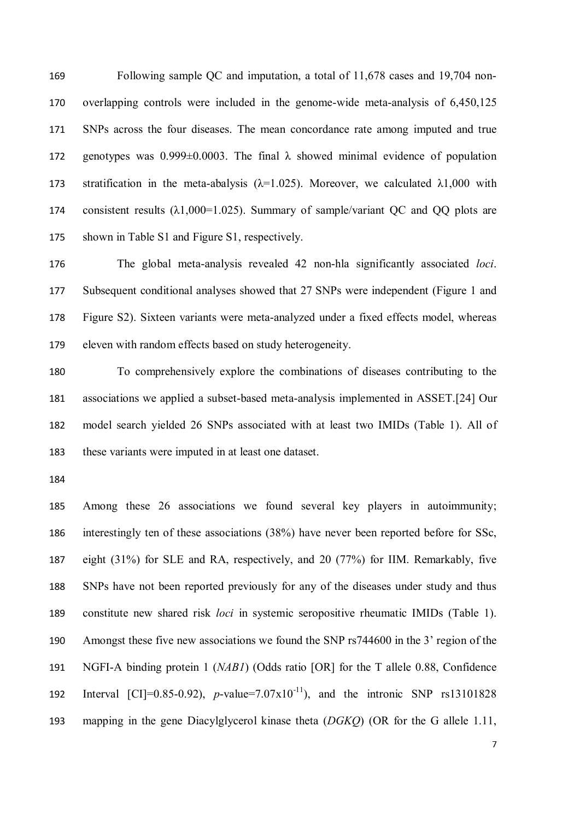Following sample QC and imputation, a total of 11,678 cases and 19,704 non- overlapping controls were included in the genome-wide meta-analysis of 6,450,125 SNPs across the four diseases. The mean concordance rate among imputed and true 172 genotypes was  $0.999\pm0.0003$ . The final  $\lambda$  showed minimal evidence of population 173 stratification in the meta-abalysis  $(\lambda=1.025)$ . Moreover, we calculated  $\lambda 1,000$  with 174 consistent results  $(\lambda 1,000=1.025)$ . Summary of sample/variant OC and OO plots are shown in Table S1 and Figure S1, respectively.

 The global meta-analysis revealed 42 non-hla significantly associated *loci*. Subsequent conditional analyses showed that 27 SNPs were independent (Figure 1 and Figure S2). Sixteen variants were meta-analyzed under a fixed effects model, whereas eleven with random effects based on study heterogeneity.

 To comprehensively explore the combinations of diseases contributing to the associations we applied a subset-based meta-analysis implemented in ASSET.[24] Our model search yielded 26 SNPs associated with at least two IMIDs (Table 1). All of these variants were imputed in at least one dataset.

 Among these 26 associations we found several key players in autoimmunity; interestingly ten of these associations (38%) have never been reported before for SSc, eight (31%) for SLE and RA, respectively, and 20 (77%) for IIM. Remarkably, five SNPs have not been reported previously for any of the diseases under study and thus constitute new shared risk *loci* in systemic seropositive rheumatic IMIDs (Table 1). Amongst these five new associations we found the SNP rs744600 in the 3' region of the NGFI-A binding protein 1 (*NAB1*) (Odds ratio [OR] for the T allele 0.88, Confidence 192 Interval  $\text{[CI]}=0.85-0.92$ , *p*-value=7.07x10<sup>-11</sup>), and the intronic SNP rs13101828 mapping in the gene Diacylglycerol kinase theta (*DGKQ*) (OR for the G allele 1.11,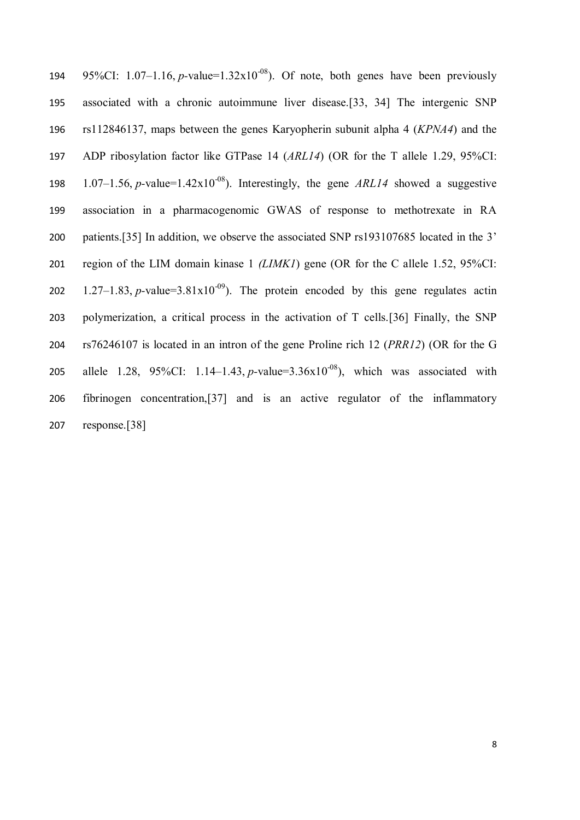| 194 | 95%CI: 1.07–1.16, p-value= $1.32 \times 10^{-08}$ ). Of note, both genes have been previously  |
|-----|------------------------------------------------------------------------------------------------|
| 195 | associated with a chronic autoimmune liver disease.[33, 34] The intergenic SNP                 |
| 196 | rs112846137, maps between the genes Karyopherin subunit alpha 4 $(KPNA4)$ and the              |
| 197 | ADP ribosylation factor like GTPase 14 (ARL14) (OR for the T allele 1.29, 95%CI:               |
| 198 | 1.07–1.56, p-value=1.42x10 <sup>-08</sup> ). Interestingly, the gene ARL14 showed a suggestive |
| 199 | association in a pharmacogenomic GWAS of response to methotrexate in RA                        |
| 200 | patients.[35] In addition, we observe the associated SNP rs193107685 located in the 3'         |
| 201 | region of the LIM domain kinase 1 (LIMKI) gene (OR for the C allele 1.52, 95%CI:               |
| 202 | 1.27–1.83, p-value=3.81x10 <sup>-09</sup> ). The protein encoded by this gene regulates actin  |
| 203 | polymerization, a critical process in the activation of T cells.[36] Finally, the SNP          |
| 204 | rs76246107 is located in an intron of the gene Proline rich 12 (PRR12) (OR for the G           |
| 205 | allele 1.28, 95%CI: 1.14–1.43, p-value=3.36x10 <sup>-08</sup> ), which was associated with     |
| 206 | fibrinogen concentration, [37] and is an active regulator of the inflammatory                  |
| 207 | response.[38]                                                                                  |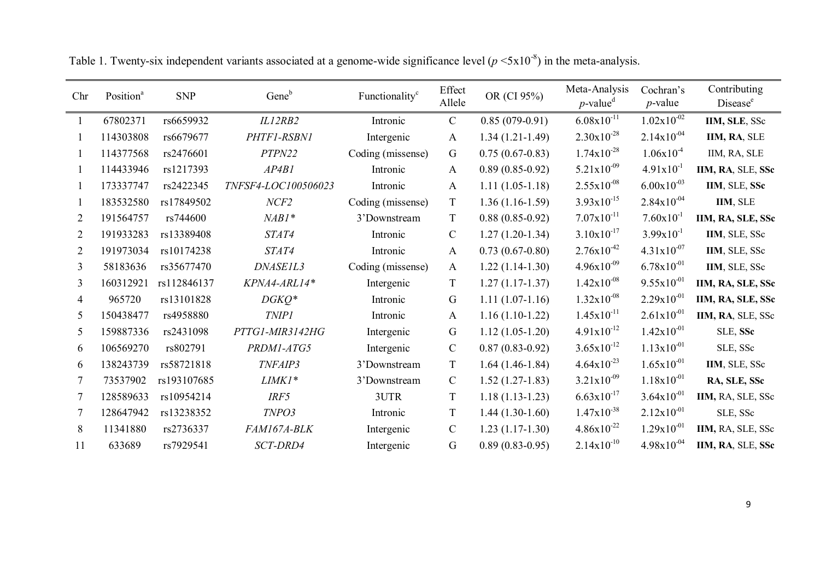| Chr            | Position <sup>a</sup> | <b>SNP</b>  | Gene <sup>b</sup>   | Functionality <sup>c</sup> | Effect<br>Allele | OR (CI 95%)         | Meta-Analysis<br>$p$ -value <sup>d</sup> | Cochran's<br>$p$ -value | Contributing<br>Disease <sup>e</sup> |
|----------------|-----------------------|-------------|---------------------|----------------------------|------------------|---------------------|------------------------------------------|-------------------------|--------------------------------------|
|                | 67802371              | rs6659932   | IL12RB2             | Intronic                   | $\mathbf C$      | $0.85(079-0.91)$    | $6.08x10^{-11}$                          | $1.02 \times 10^{-02}$  | IIM, SLE, SSc                        |
|                | 114303808             | rs6679677   | PHTF1-RSBN1         | Intergenic                 | $\mathbf{A}$     | $1.34(1.21-1.49)$   | $2.30x10^{-28}$                          | $2.14x10^{-04}$         | IIM, RA, SLE                         |
|                | 114377568             | rs2476601   | PTPN22              | Coding (missense)          | $\mathsf G$      | $0.75(0.67-0.83)$   | $1.74 \times 10^{-28}$                   | $1.06x10^{-4}$          | IIM, RA, SLE                         |
|                | 114433946             | rs1217393   | AP4B1               | Intronic                   | $\mathbf{A}$     | $0.89(0.85-0.92)$   | $5.21 \times 10^{-09}$                   | $4.91x10^{-1}$          | IIM, RA, SLE, SSc                    |
|                | 173337747             | rs2422345   | TNFSF4-LOC100506023 | Intronic                   | $\mathbf{A}$     | $1.11(1.05-1.18)$   | $2.55 \times 10^{-08}$                   | $6.00x10^{-03}$         | IIM, SLE, SSc                        |
|                | 183532580             | rs17849502  | NCF2                | Coding (missense)          | T                | $1.36(1.16-1.59)$   | $3.93x10^{-15}$                          | $2.84x10^{-04}$         | IIM, SLE                             |
| 2              | 191564757             | rs744600    | $NABI*$             | 3'Downstream               | T                | $0.88(0.85-0.92)$   | $7.07 \times 10^{-11}$                   | $7.60 \times 10^{-1}$   | IIM, RA, SLE, SSc                    |
| 2              | 191933283             | rs13389408  | STAT4               | Intronic                   | $\mathbf C$      | $1.27(1.20-1.34)$   | $3.10 \times 10^{-17}$                   | $3.99x10^{-1}$          | IIM, SLE, SSc                        |
| $\overline{2}$ | 191973034             | rs10174238  | STAT4               | Intronic                   | $\mathbf{A}$     | $0.73(0.67-0.80)$   | $2.76x10^{-42}$                          | $4.31 \times 10^{-07}$  | IIM, SLE, SSc                        |
| 3              | 58183636              | rs35677470  | DNASE1L3            | Coding (missense)          | $\mathbf{A}$     | $1.22(1.14-1.30)$   | $4.96x10^{-09}$                          | $6.78x10^{-01}$         | IIM, SLE, SSc                        |
| 3              | 160312921             | rs112846137 | KPNA4-ARL14*        | Intergenic                 | T                | $1.27(1.17-1.37)$   | $1.42 \times 10^{-08}$                   | $9.55x10^{-01}$         | IIM, RA, SLE, SSc                    |
| 4              | 965720                | rs13101828  | $DGKQ^*$            | Intronic                   | $\mathsf G$      | $1.11(1.07-1.16)$   | $1.32 \times 10^{-08}$                   | $2.29x10^{-01}$         | IIM, RA, SLE, SSc                    |
| 5              | 150438477             | rs4958880   | <b>TNIP1</b>        | Intronic                   | $\mathbf{A}$     | $1.16(1.10-1.22)$   | $1.45x10^{-11}$                          | $2.61x10^{-01}$         | IIM, RA, SLE, SSc                    |
| 5              | 159887336             | rs2431098   | PTTG1-MIR3142HG     | Intergenic                 | $\mathsf G$      | $1.12(1.05-1.20)$   | $4.91x10^{-12}$                          | $1.42 \times 10^{-01}$  | SLE, SSc                             |
| 6              | 106569270             | rs802791    | PRDM1-ATG5          | Intergenic                 | $\mathcal{C}$    | $0.87(0.83 - 0.92)$ | $3.65 \times 10^{-12}$                   | $1.13 \times 10^{-01}$  | SLE, SSc                             |
| 6              | 138243739             | rs58721818  | TNFAIP3             | 3'Downstream               | T                | $1.64(1.46-1.84)$   | $4.64 \times 10^{-23}$                   | $1.65x10^{-01}$         | IIM, SLE, SSc                        |
| 7              | 73537902              | rs193107685 | LIMK1*              | 3'Downstream               | $\mathsf{C}$     | $1.52(1.27-1.83)$   | $3.21x10^{-09}$                          | $1.18x10^{-01}$         | RA, SLE, SSc                         |
|                | 128589633             | rs10954214  | IRF5                | 3UTR                       | $\mathbf T$      | $1.18(1.13-1.23)$   | $6.63 \times 10^{-17}$                   | $3.64 \times 10^{-01}$  | IIM, RA, SLE, SSc                    |
|                | 128647942             | rs13238352  | TNPO3               | Intronic                   | T                | $1.44(1.30-1.60)$   | $1.47x10^{-38}$                          | $2.12x10^{-01}$         | SLE, SSc                             |
| 8              | 11341880              | rs2736337   | FAM167A-BLK         | Intergenic                 | $\mathsf{C}$     | $1.23(1.17-1.30)$   | $4.86x10^{-22}$                          | $1.29x10^{-01}$         | IIM, RA, SLE, SSc                    |
| 11             | 633689                | rs7929541   | SCT-DRD4            | Intergenic                 | G                | $0.89(0.83 - 0.95)$ | $2.14x10^{-10}$                          | $4.98x10^{-04}$         | IIM, RA, SLE, SSc                    |

Table 1. Twenty-six independent variants associated at a genome-wide significance level  $(p \le 5 \times 10^{-8})$  in the meta-analysis.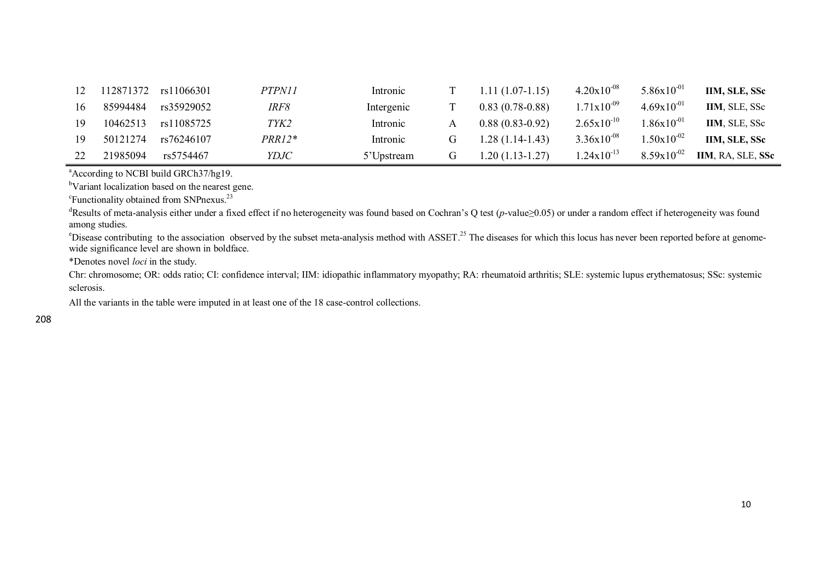| 12 |          | 112871372 rs11066301 | <i>PTPN11</i> | Intronic   |   | $1.11(1.07-1.15)$ | $4.20 \times 10^{-08}$ | $5.86 \times 10^{-01}$ | IIM, SLE, SSc     |
|----|----------|----------------------|---------------|------------|---|-------------------|------------------------|------------------------|-------------------|
|    | 85994484 | rs35929052           | IRF8          | Intergenic |   | $0.83(0.78-0.88)$ | $1.71 \times 10^{-09}$ | $4.69x10^{-01}$        | IIM, SLE, SSc     |
|    | 10462513 | rs11085725           | TYK2          | Intronic   |   | $0.88(0.83-0.92)$ | $2.65 \times 10^{-10}$ | $1.86 \times 10^{-01}$ | IIM, SLE, SSc     |
|    | 50121274 | rs76246107           | PRR12*        | Intronic   |   | $1.28(1.14-1.43)$ | $3.36x10^{-08}$        | $1.50 \times 10^{-02}$ | IIM, SLE, SSc     |
|    | 21985094 | rs5754467            | YDJC          | 5'Upstream | G | $1.20(1.13-1.27)$ | $1.24 \times 10^{-13}$ | $8.59x10^{-02}$        | IIM, RA, SLE, SSc |

<sup>a</sup>According to NCBI build GRCh37/hg19.

<sup>b</sup>Variant localization based on the nearest gene.

<sup>c</sup>Functionality obtained from SNPnexus.<sup>23</sup>

<sup>d</sup>Results of meta-analysis either under a fixed effect if no heterogeneity was found based on Cochran's Q test (*p*-value≥0.05) or under a random effect if heterogeneity was found among studies.

<sup>e</sup>Disease contributing to the association observed by the subset meta-analysis method with ASSET.<sup>25</sup> The diseases for which this locus has never been reported before at genomewide significance level are shown in boldface.

\*Denotes novel *loci* in the study.

Chr: chromosome; OR: odds ratio; CI: confidence interval; IIM: idiopathic inflammatory myopathy; RA: rheumatoid arthritis; SLE: systemic lupus erythematosus; SSc: systemic sclerosis.

All the variants in the table were imputed in at least one of the 18 case-control collections.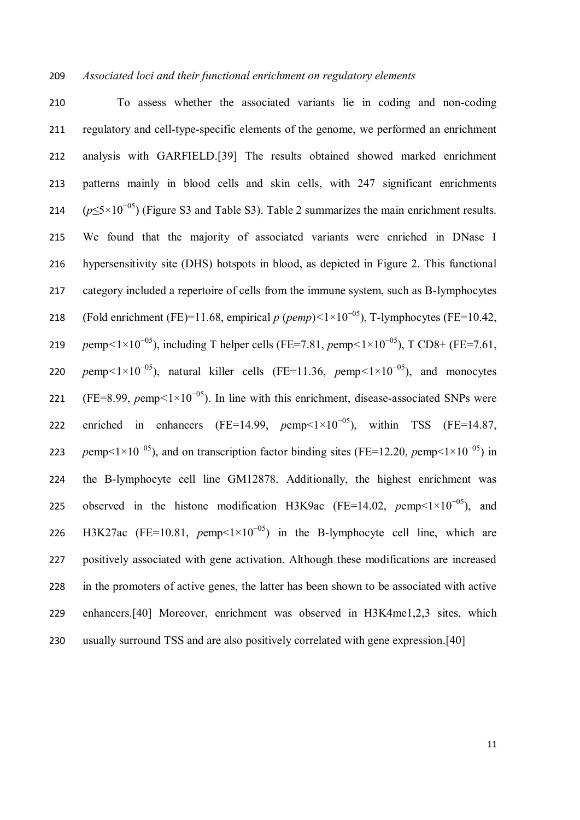### *Associated loci and their functional enrichment on regulatory elements*

 To assess whether the associated variants lie in coding and non-coding regulatory and cell-type-specific elements of the genome, we performed an enrichment analysis with GARFIELD.[39] The results obtained showed marked enrichment patterns mainly in blood cells and skin cells, with 247 significant enrichments  $(p \le 5 \times 10^{-05})$  (Figure S3 and Table S3). Table 2 summarizes the main enrichment results. We found that the majority of associated variants were enriched in DNase I hypersensitivity site (DHS) hotspots in blood, as depicted in Figure 2. This functional category included a repertoire of cells from the immune system, such as B-lymphocytes 218 (Fold enrichment (FE)=11.68, empirical  $p$  ( $pemp$ )<1×10<sup>-05</sup>), T-lymphocytes (FE=10.42, *p*emp<1×10<sup>-05</sup>), including T helper cells (FE=7.81, *p*emp<1×10<sup>-05</sup>), T CD8+ (FE=7.61, *p*emp<sup> $<1\times10^{-05}$ ), natural killer cells (FE=11.36, *p*emp<sup> $<1\times10^{-05}$ ), and monocytes</sup></sup> 221 (FE=8.99, *p*emp < 1×10<sup>-05</sup>). In line with this enrichment, disease-associated SNPs were 222 enriched in enhancers (FE=14.99,  $pemp<1\times10^{-0.5}$ ), within TSS (FE=14.87, *pemp*<1×10<sup>-05</sup>), and on transcription factor binding sites (FE=12.20, *pemp*<1×10<sup>-05</sup>) in the B-lymphocyte cell line GM12878. Additionally, the highest enrichment was 225 observed in the histone modification H3K9ac (FE=14.02,  $pemp<1\times10^{-05}$ ), and 226 H3K27ac (FE=10.81,  $pemp<1\times10^{-0.5}$ ) in the B-lymphocyte cell line, which are positively associated with gene activation. Although these modifications are increased in the promoters of active genes, the latter has been shown to be associated with active enhancers.[40] Moreover, enrichment was observed in H3K4me1,2,3 sites, which usually surround TSS and are also positively correlated with gene expression.[40]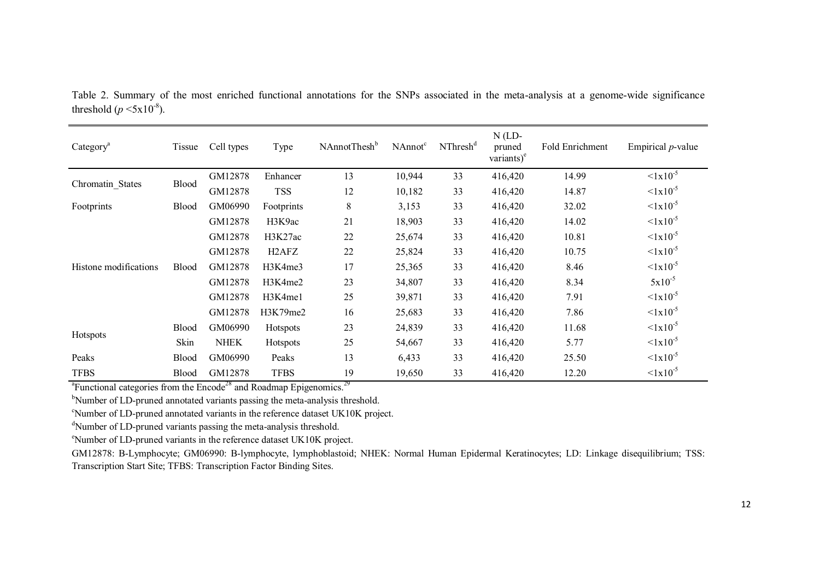| Category <sup>a</sup> | Tissue       | Cell types  | Type                           | NAnnotThesh <sup>b</sup> | NAnnot <sup>c</sup> | NThresh <sup>d</sup> | $N$ (LD-<br>pruned<br>variants $)^e$ | Fold Enrichment | Empirical $p$ -value    |
|-----------------------|--------------|-------------|--------------------------------|--------------------------|---------------------|----------------------|--------------------------------------|-----------------|-------------------------|
|                       |              | GM12878     | Enhancer                       | 13                       | 10,944              | 33                   | 416,420                              | 14.99           | $< 1x10^{-5}$           |
| Chromatin States      | Blood        | GM12878     | <b>TSS</b>                     | 12                       | 10,182              | 33                   | 416,420                              | 14.87           | $\leq 1 \times 10^{-5}$ |
| Footprints            | <b>Blood</b> | GM06990     | Footprints                     | 8                        | 3,153               | 33                   | 416,420                              | 32.02           | $\leq 1 \times 10^{-5}$ |
|                       |              | GM12878     | H3K9ac                         | 21                       | 18,903              | 33                   | 416,420                              | 14.02           | $\leq 1 \times 10^{-5}$ |
|                       |              | GM12878     | H3K27ac                        | 22                       | 25,674              | 33                   | 416,420                              | 10.81           | $\leq 1 \times 10^{-5}$ |
|                       |              | GM12878     | H <sub>2</sub> AF <sub>Z</sub> | 22                       | 25,824              | 33                   | 416,420                              | 10.75           | $1x10^{-5}$             |
| Histone modifications | <b>Blood</b> | GM12878     | H3K4me3                        | 17                       | 25,365              | 33                   | 416,420                              | 8.46            | $1x10^{-5}$             |
|                       |              | GM12878     | H3K4me2                        | 23                       | 34,807              | 33                   | 416,420                              | 8.34            | $5x10^{-5}$             |
|                       |              | GM12878     | H3K4me1                        | 25                       | 39,871              | 33                   | 416,420                              | 7.91            | $1x10^{-5}$             |
|                       |              | GM12878     | H3K79me2                       | 16                       | 25,683              | 33                   | 416,420                              | 7.86            | $< 1x10^{-5}$           |
|                       | <b>Blood</b> | GM06990     | <b>Hotspots</b>                | 23                       | 24,839              | 33                   | 416,420                              | 11.68           | $\leq 1 \times 10^{-5}$ |
| Hotspots              | Skin         | <b>NHEK</b> | Hotspots                       | 25                       | 54,667              | 33                   | 416,420                              | 5.77            | $1x10^{-5}$             |
| Peaks                 | <b>Blood</b> | GM06990     | Peaks                          | 13                       | 6,433               | 33                   | 416,420                              | 25.50           | $\leq 1 \times 10^{-5}$ |
| <b>TFBS</b>           | Blood        | GM12878     | <b>TFBS</b>                    | 19                       | 19,650              | 33                   | 416,420                              | 12.20           | $1x10^{-5}$             |

Table 2. Summary of the most enriched functional annotations for the SNPs associated in the meta-analysis at a genome-wide significance threshold  $(p \le 5x10^{-8})$ .

<sup>a</sup>Functional categories from the Encode<sup>28</sup> and Roadmap Epigenomics.<sup>29</sup>

<sup>b</sup>Number of LD-pruned annotated variants passing the meta-analysis threshold.

<sup>c</sup>Number of LD-pruned annotated variants in the reference dataset UK10K project.

<sup>d</sup>Number of LD-pruned variants passing the meta-analysis threshold.

<sup>e</sup>Number of LD-pruned variants in the reference dataset UK10K project.

GM12878: B-Lymphocyte; GM06990: B-lymphocyte, lymphoblastoid; NHEK: Normal Human Epidermal Keratinocytes; LD: Linkage disequilibrium; TSS: Transcription Start Site; TFBS: Transcription Factor Binding Sites.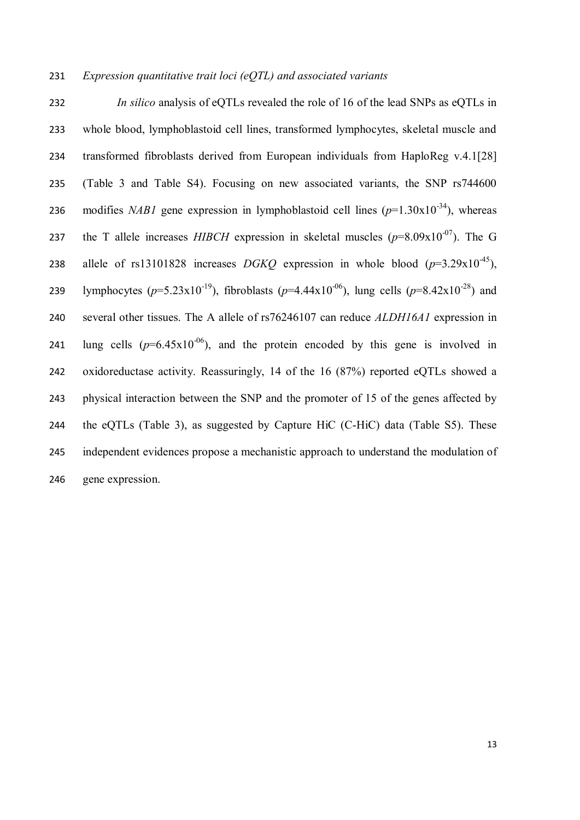# *Expression quantitative trait loci (eQTL) and associated variants*

 *In silico* analysis of eQTLs revealed the role of 16 of the lead SNPs as eQTLs in whole blood, lymphoblastoid cell lines, transformed lymphocytes, skeletal muscle and transformed fibroblasts derived from European individuals from HaploReg v.4.1[28] (Table 3 and Table S4). Focusing on new associated variants, the SNP rs744600 236 modifies *NAB1* gene expression in lymphoblastoid cell lines  $(p=1.30x10^{-34})$ , whereas the T allele increases *HIBCH* expression in skeletal muscles  $(p=8.09x10^{-07})$ . The G 238 allele of rs13101828 increases *DGKQ* expression in whole blood  $(p=3.29 \times 10^{-45})$ , 239 lymphocytes  $(p=5.23x10^{-19})$ , fibroblasts  $(p=4.44x10^{-06})$ , lung cells  $(p=8.42x10^{-28})$  and several other tissues. The A allele of rs76246107 can reduce *ALDH16A1* expression in 241 lung cells  $(p=6.45x10^{-06})$ , and the protein encoded by this gene is involved in oxidoreductase activity. Reassuringly, 14 of the 16 (87%) reported eQTLs showed a physical interaction between the SNP and the promoter of 15 of the genes affected by the eQTLs (Table 3), as suggested by Capture HiC (C-HiC) data (Table S5). These independent evidences propose a mechanistic approach to understand the modulation of gene expression.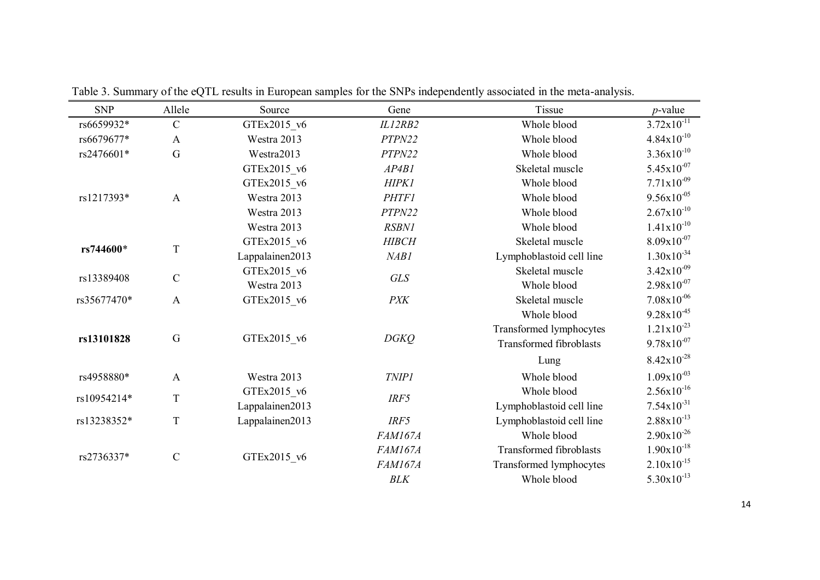| <b>SNP</b>  | Allele                     | Source          | Gene           | Tissue                         | $p$ -value             |
|-------------|----------------------------|-----------------|----------------|--------------------------------|------------------------|
| rs6659932*  | $\mathcal{C}$              | GTEx2015 v6     | IL12RB2        | Whole blood                    | $3.72 \times 10^{-11}$ |
| rs6679677*  | $\mathbf{A}$               | Westra 2013     | PTPN22         | Whole blood                    | $4.84x10^{-10}$        |
| rs2476601*  | G                          | Westra2013      | PTPN22         | Whole blood                    | $3.36x10^{-10}$        |
|             |                            | GTEx2015 v6     | AP4B1          | Skeletal muscle                | $5.45x10^{-07}$        |
|             |                            | GTEx2015 v6     | HIPK1          | Whole blood                    | $7.71 \times 10^{-09}$ |
| rs1217393*  | $\mathbf{A}$               | Westra 2013     | <b>PHTF1</b>   | Whole blood                    | $9.56x10^{-05}$        |
|             |                            | Westra 2013     | PTPN22         | Whole blood                    | $2.67x10^{-10}$        |
|             |                            | Westra 2013     | <b>RSBN1</b>   | Whole blood                    | $1.41x10^{-10}$        |
| rs744600*   | T                          | GTEx2015 v6     | <b>HIBCH</b>   | Skeletal muscle                | $8.09x10^{-07}$        |
|             |                            | Lappalainen2013 | NAB1           | Lymphoblastoid cell line       | $1.30x10^{-34}$        |
| rs13389408  | $\mathcal{C}$              | GTEx2015 v6     | <b>GLS</b>     | Skeletal muscle                | $3.42 \times 10^{-09}$ |
|             |                            | Westra 2013     |                | Whole blood                    | $2.98x10^{-07}$        |
| rs35677470* | $\mathbf{A}$               | GTEx2015 v6     | <b>PXK</b>     | Skeletal muscle                | $7.08 \times 10^{-06}$ |
|             |                            |                 |                | Whole blood                    | $9.28 \times 10^{-45}$ |
|             | G                          |                 |                | Transformed lymphocytes        | $1.21 \times 10^{-23}$ |
| rs13101828  |                            | GTEx2015 v6     | <b>DGKQ</b>    | <b>Transformed fibroblasts</b> | $9.78 \times 10^{-07}$ |
|             |                            |                 |                | Lung                           | $8.42x10^{-28}$        |
| rs4958880*  | $\mathbf{A}$               | Westra 2013     | <b>TNIP1</b>   | Whole blood                    | $1.09x10^{-03}$        |
| rs10954214* | $\mathbf T$                | GTEx2015 v6     | IRF5           | Whole blood                    | $2.56x10^{-16}$        |
|             |                            | Lappalainen2013 |                | Lymphoblastoid cell line       | $7.54x10^{-31}$        |
| rs13238352* | $\mathbf T$                | Lappalainen2013 | IRF5           | Lymphoblastoid cell line       | $2.88 \times 10^{-13}$ |
|             |                            |                 | FAM167A        | Whole blood                    | $2.90x10^{-26}$        |
|             |                            |                 | <b>FAM167A</b> | <b>Transformed fibroblasts</b> | $1.90x10^{-18}$        |
| rs2736337*  | $\mathbf C$<br>GTEx2015 v6 |                 | <b>FAM167A</b> | Transformed lymphocytes        | $2.10x10^{-15}$        |
|             |                            |                 | <b>BLK</b>     | Whole blood                    | $5.30x10^{-13}$        |

Table 3. Summary of the eQTL results in European samples for the SNPs independently associated in the meta-analysis.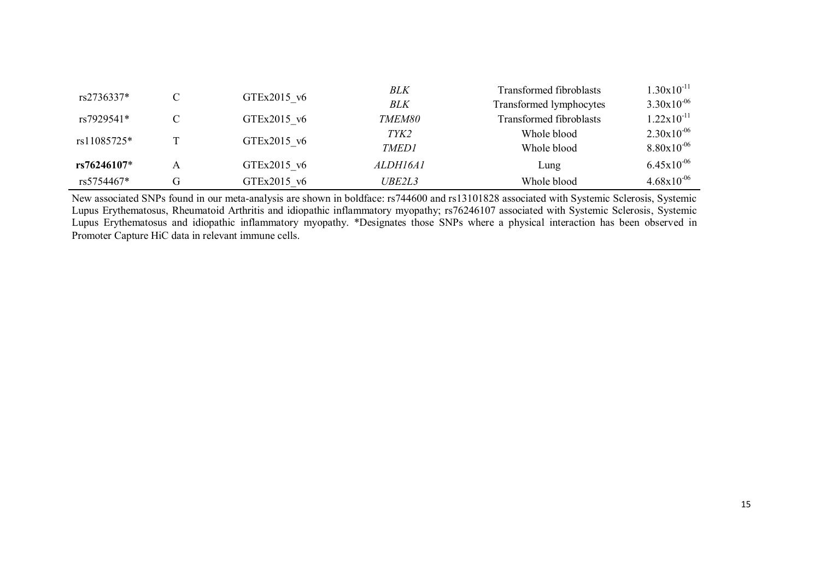| rs2736337*    |   |             | <b>BLK</b>      | <b>Transformed fibroblasts</b> | $1.30x10^{-11}$        |
|---------------|---|-------------|-----------------|--------------------------------|------------------------|
|               | C | GTEx2015 v6 | BLK             | Transformed lymphocytes        | $3.30x10^{-06}$        |
| rs7929541*    | C | GTEx2015 v6 | TMEM80          | <b>Transformed fibroblasts</b> | $1.22 \times 10^{-11}$ |
| rs11085725*   |   |             | TYK2            | Whole blood                    | $2.30x10^{-06}$        |
|               |   | GTEx2015 v6 | <b>TMED1</b>    | Whole blood                    | $8.80x10^{-06}$        |
| $rs76246107*$ | Α | GTEx2015 v6 | <i>ALDH16A1</i> | Lung                           | $6.45x10^{-06}$        |
| rs5754467*    | G | GTEx2015 v6 | UBE2L3          | Whole blood                    | $4.68x10^{-06}$        |

New associated SNPs found in our meta-analysis are shown in boldface: rs744600 and rs13101828 associated with Systemic Sclerosis, Systemic Lupus Erythematosus, Rheumatoid Arthritis and idiopathic inflammatory myopathy; rs76246107 associated with Systemic Sclerosis, Systemic Lupus Erythematosus and idiopathic inflammatory myopathy. \*Designates those SNPs where a physical interaction has been observed in Promoter Capture HiC data in relevant immune cells.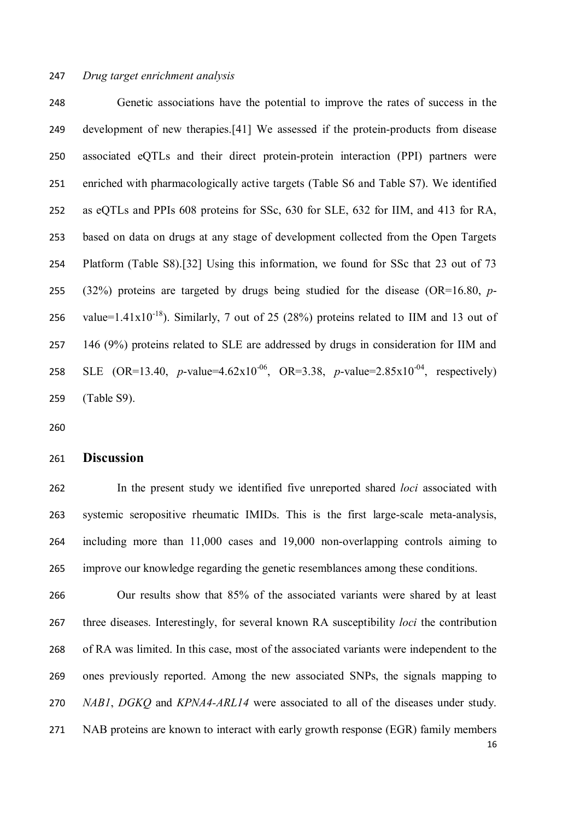Genetic associations have the potential to improve the rates of success in the development of new therapies.[41] We assessed if the protein-products from disease associated eQTLs and their direct protein-protein interaction (PPI) partners were enriched with pharmacologically active targets (Table S6 and Table S7). We identified as eQTLs and PPIs 608 proteins for SSc, 630 for SLE, 632 for IIM, and 413 for RA, based on data on drugs at any stage of development collected from the Open Targets Platform (Table S8).[32] Using this information, we found for SSc that 23 out of 73 (32%) proteins are targeted by drugs being studied for the disease (OR=16.80, *p*-256 value=1.41x10<sup>-18</sup>). Similarly, 7 out of 25 (28%) proteins related to IIM and 13 out of 146 (9%) proteins related to SLE are addressed by drugs in consideration for IIM and 258 SLE (OR=13.40, *p*-value=4.62x10<sup>-06</sup>, OR=3.38, *p*-value=2.85x10<sup>-04</sup>, respectively) (Table S9).

#### **Discussion**

 In the present study we identified five unreported shared *loci* associated with systemic seropositive rheumatic IMIDs. This is the first large-scale meta-analysis, including more than 11,000 cases and 19,000 non-overlapping controls aiming to improve our knowledge regarding the genetic resemblances among these conditions.

 Our results show that 85% of the associated variants were shared by at least three diseases. Interestingly, for several known RA susceptibility *loci* the contribution of RA was limited. In this case, most of the associated variants were independent to the ones previously reported. Among the new associated SNPs, the signals mapping to *NAB1*, *DGKQ* and *KPNA4-ARL14* were associated to all of the diseases under study. NAB proteins are known to interact with early growth response (EGR) family members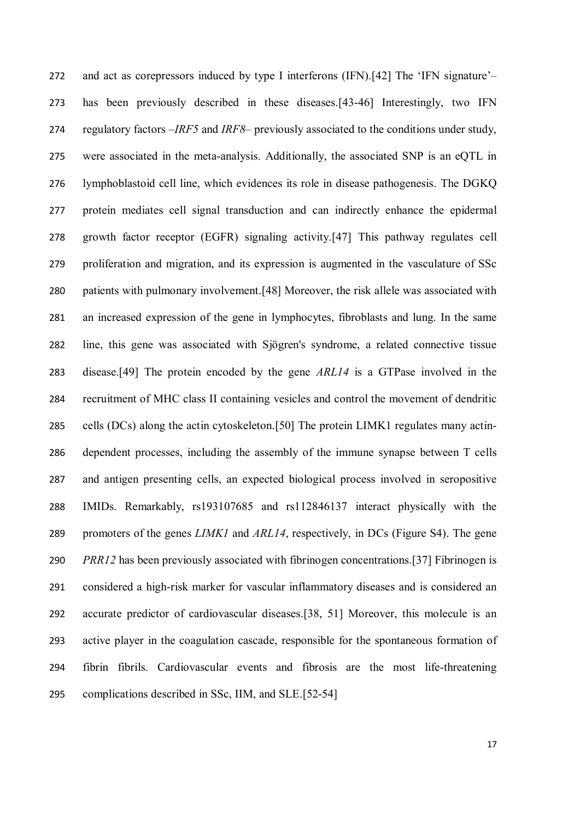and act as corepressors induced by type I interferons (IFN).[42] The 'IFN signature'– has been previously described in these diseases.[43-46] Interestingly, two IFN regulatory factors –*IRF5* and *IRF8*– previously associated to the conditions under study, were associated in the meta-analysis. Additionally, the associated SNP is an eQTL in lymphoblastoid cell line, which evidences its role in disease pathogenesis. The DGKQ protein mediates cell signal transduction and can indirectly enhance the epidermal growth factor receptor (EGFR) signaling activity.[47] This pathway regulates cell proliferation and migration, and its expression is augmented in the vasculature of SSc patients with pulmonary involvement.[48] Moreover, the risk allele was associated with an increased expression of the gene in lymphocytes, fibroblasts and lung. In the same line, this gene was associated with Sjögren's syndrome, a related connective tissue disease.[49] The protein encoded by the gene *ARL14* is a GTPase involved in the recruitment of MHC class II containing vesicles and control the movement of dendritic cells (DCs) along the actin cytoskeleton.[50] The protein LIMK1 regulates many actin- dependent processes, including the assembly of the immune synapse between T cells and antigen presenting cells, an expected biological process involved in seropositive IMIDs. Remarkably, rs193107685 and rs112846137 interact physically with the promoters of the genes *LIMK1* and *ARL14*, respectively, in DCs (Figure S4). The gene *PRR12* has been previously associated with fibrinogen concentrations.[37] Fibrinogen is considered a high-risk marker for vascular inflammatory diseases and is considered an accurate predictor of cardiovascular diseases.[38, 51] Moreover, this molecule is an active player in the coagulation cascade, responsible for the spontaneous formation of fibrin fibrils. Cardiovascular events and fibrosis are the most life-threatening complications described in SSc, IIM, and SLE.[52-54]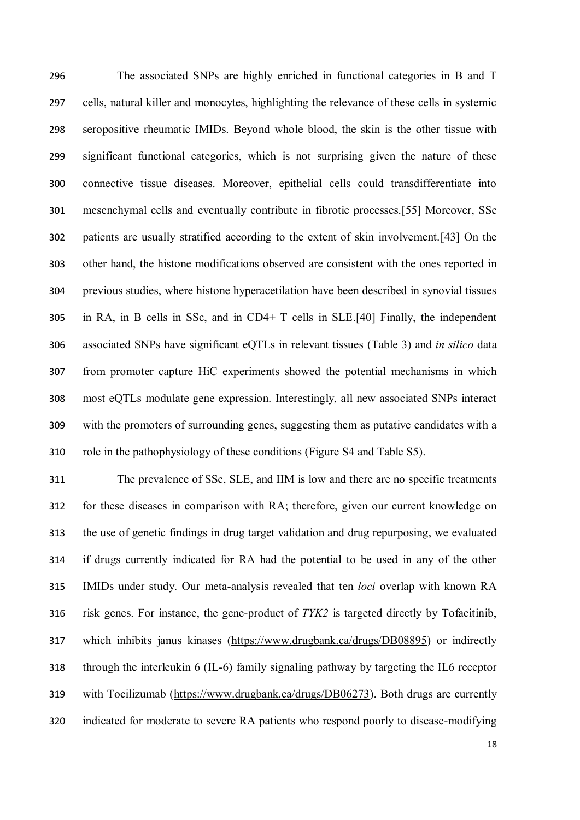The associated SNPs are highly enriched in functional categories in B and T cells, natural killer and monocytes, highlighting the relevance of these cells in systemic seropositive rheumatic IMIDs. Beyond whole blood, the skin is the other tissue with significant functional categories, which is not surprising given the nature of these connective tissue diseases. Moreover, epithelial cells could transdifferentiate into mesenchymal cells and eventually contribute in fibrotic processes.[55] Moreover, SSc patients are usually stratified according to the extent of skin involvement.[43] On the other hand, the histone modifications observed are consistent with the ones reported in previous studies, where histone hyperacetilation have been described in synovial tissues in RA, in B cells in SSc, and in CD4+ T cells in SLE.[40] Finally, the independent associated SNPs have significant eQTLs in relevant tissues (Table 3) and *in silico* data from promoter capture HiC experiments showed the potential mechanisms in which most eQTLs modulate gene expression. Interestingly, all new associated SNPs interact with the promoters of surrounding genes, suggesting them as putative candidates with a role in the pathophysiology of these conditions (Figure S4 and Table S5).

 The prevalence of SSc, SLE, and IIM is low and there are no specific treatments for these diseases in comparison with RA; therefore, given our current knowledge on the use of genetic findings in drug target validation and drug repurposing, we evaluated if drugs currently indicated for RA had the potential to be used in any of the other IMIDs under study. Our meta-analysis revealed that ten *loci* overlap with known RA risk genes. For instance, the gene-product of *TYK2* is targeted directly by Tofacitinib, which inhibits janus kinases (https://www.drugbank.ca/drugs/DB08895) or indirectly through the interleukin 6 (IL-6) family signaling pathway by targeting the IL6 receptor with Tocilizumab (https://www.drugbank.ca/drugs/DB06273). Both drugs are currently indicated for moderate to severe RA patients who respond poorly to disease-modifying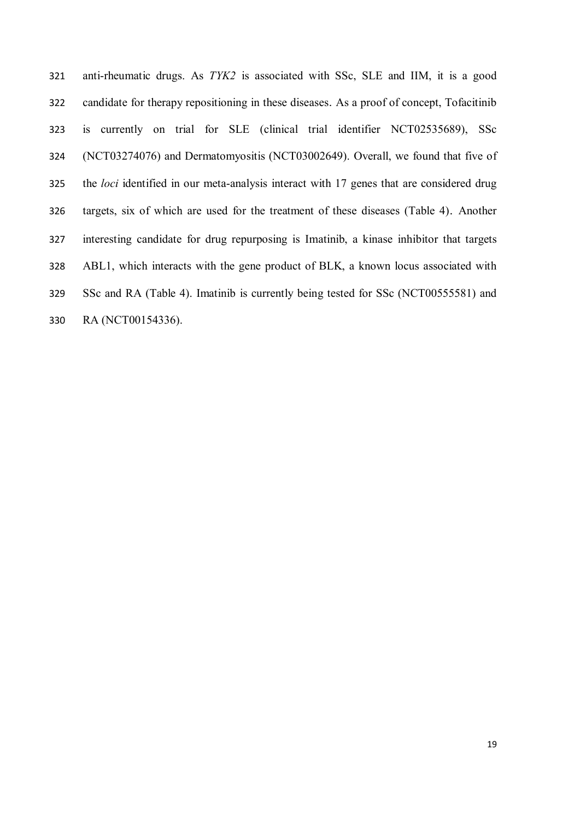anti-rheumatic drugs. As *TYK2* is associated with SSc, SLE and IIM, it is a good candidate for therapy repositioning in these diseases. As a proof of concept, Tofacitinib is currently on trial for SLE (clinical trial identifier NCT02535689), SSc (NCT03274076) and Dermatomyositis (NCT03002649). Overall, we found that five of the *loci* identified in our meta-analysis interact with 17 genes that are considered drug targets, six of which are used for the treatment of these diseases (Table 4). Another interesting candidate for drug repurposing is Imatinib, a kinase inhibitor that targets ABL1, which interacts with the gene product of BLK, a known locus associated with SSc and RA (Table 4). Imatinib is currently being tested for SSc (NCT00555581) and RA (NCT00154336).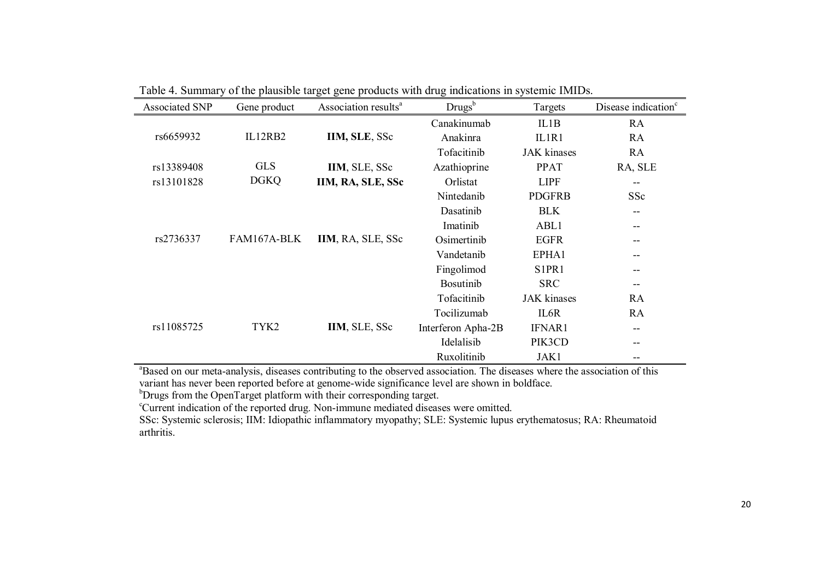| <b>Associated SNP</b> | Gene product | Association results <sup>a</sup> | Drugs <sup>b</sup> | Targets                        | Disease indication <sup>c</sup> |
|-----------------------|--------------|----------------------------------|--------------------|--------------------------------|---------------------------------|
|                       |              |                                  | Canakinumab        | IL1B                           | RA                              |
| rs6659932             | IL12RB2      | IIM, SLE, SSc                    | Anakinra           | IL1R1                          | RA                              |
|                       |              |                                  | Tofacitinib        | <b>JAK</b> kinases             | RA                              |
| rs13389408            | <b>GLS</b>   | IIM, SLE, SSc                    | Azathioprine       | <b>PPAT</b>                    | RA, SLE                         |
| rs13101828            | <b>DGKQ</b>  | IIM, RA, SLE, SSc                | Orlistat           | <b>LIPF</b>                    |                                 |
|                       |              |                                  | Nintedanib         | <b>PDGFRB</b>                  | SSc                             |
|                       |              |                                  | Dasatinib          | <b>BLK</b>                     | --                              |
|                       |              |                                  | Imatinib           | ABL1                           | --                              |
| rs2736337             | FAM167A-BLK  | IIM, RA, SLE, SSc                | Osimertinib        | <b>EGFR</b>                    |                                 |
|                       |              |                                  | Vandetanib         | EPHA1                          |                                 |
|                       |              |                                  | Fingolimod         | S <sub>1</sub> PR <sub>1</sub> |                                 |
|                       |              |                                  | <b>Bosutinib</b>   | <b>SRC</b>                     | --                              |
|                       |              |                                  | Tofacitinib        | <b>JAK</b> kinases             | RA                              |
|                       |              |                                  | Tocilizumab        | IL6R                           | RA                              |
| rs11085725            | TYK2         | IIM, SLE, SSc                    | Interferon Apha-2B | <b>IFNAR1</b>                  | --                              |
|                       |              |                                  | Idelalisib         | PIK3CD                         |                                 |
|                       |              |                                  | Ruxolitinib        | JAK1                           |                                 |

Table 4. Summary of the plausible target gene products with drug indications in systemic IMIDs.

<sup>a</sup>Based on our meta-analysis, diseases contributing to the observed association. The diseases where the association of this variant has never been reported before at genome-wide significance level are shown in boldface.

<sup>b</sup>Drugs from the OpenTarget platform with their corresponding target.

<sup>c</sup>Current indication of the reported drug. Non-immune mediated diseases were omitted.

SSc: Systemic sclerosis; IIM: Idiopathic inflammatory myopathy; SLE: Systemic lupus erythematosus; RA: Rheumatoid arthritis.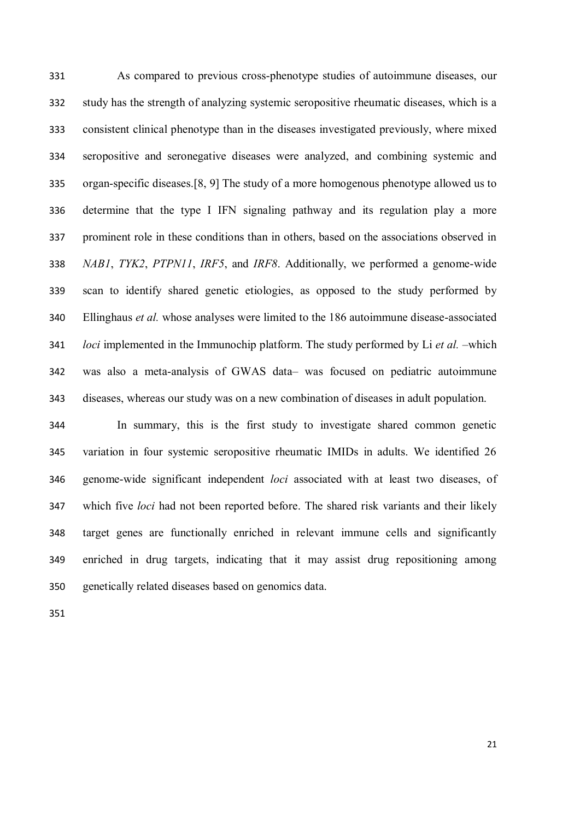As compared to previous cross-phenotype studies of autoimmune diseases, our study has the strength of analyzing systemic seropositive rheumatic diseases, which is a consistent clinical phenotype than in the diseases investigated previously, where mixed seropositive and seronegative diseases were analyzed, and combining systemic and organ-specific diseases.[8, 9] The study of a more homogenous phenotype allowed us to determine that the type I IFN signaling pathway and its regulation play a more prominent role in these conditions than in others, based on the associations observed in *NAB1*, *TYK2*, *PTPN11*, *IRF5*, and *IRF8*. Additionally, we performed a genome-wide scan to identify shared genetic etiologies, as opposed to the study performed by Ellinghaus *et al.* whose analyses were limited to the 186 autoimmune disease-associated *loci* implemented in the Immunochip platform. The study performed by Li *et al.* –which was also a meta-analysis of GWAS data– was focused on pediatric autoimmune diseases, whereas our study was on a new combination of diseases in adult population.

 In summary, this is the first study to investigate shared common genetic variation in four systemic seropositive rheumatic IMIDs in adults. We identified 26 genome-wide significant independent *loci* associated with at least two diseases, of which five *loci* had not been reported before. The shared risk variants and their likely target genes are functionally enriched in relevant immune cells and significantly enriched in drug targets, indicating that it may assist drug repositioning among genetically related diseases based on genomics data.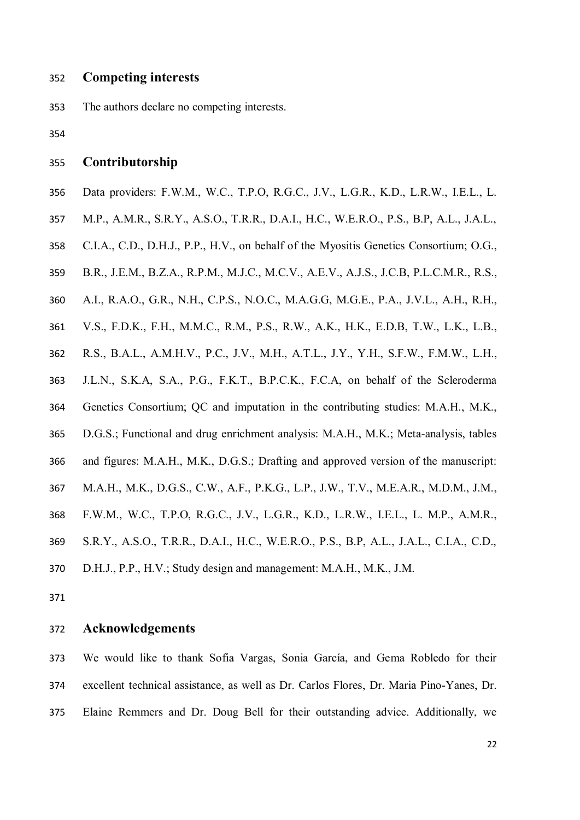## **Competing interests**

The authors declare no competing interests.

### **Contributorship**

- Data providers: F.W.M., W.C., T.P.O, R.G.C., J.V., L.G.R., K.D., L.R.W., I.E.L., L.
- M.P., A.M.R., S.R.Y., A.S.O., T.R.R., D.A.I., H.C., W.E.R.O., P.S., B.P, A.L., J.A.L.,
- C.I.A., C.D., D.H.J., P.P., H.V., on behalf of the Myositis Genetics Consortium; O.G.,
- B.R., J.E.M., B.Z.A., R.P.M., M.J.C., M.C.V., A.E.V., A.J.S., J.C.B, P.L.C.M.R., R.S.,
- A.I., R.A.O., G.R., N.H., C.P.S., N.O.C., M.A.G.G, M.G.E., P.A., J.V.L., A.H., R.H.,
- V.S., F.D.K., F.H., M.M.C., R.M., P.S., R.W., A.K., H.K., E.D.B, T.W., L.K., L.B.,
- R.S., B.A.L., A.M.H.V., P.C., J.V., M.H., A.T.L., J.Y., Y.H., S.F.W., F.M.W., L.H.,
- J.L.N., S.K.A, S.A., P.G., F.K.T., B.P.C.K., F.C.A, on behalf of the Scleroderma
- Genetics Consortium; QC and imputation in the contributing studies: M.A.H., M.K.,
- D.G.S.; Functional and drug enrichment analysis: M.A.H., M.K.; Meta-analysis, tables
- and figures: M.A.H., M.K., D.G.S.; Drafting and approved version of the manuscript:
- M.A.H., M.K., D.G.S., C.W., A.F., P.K.G., L.P., J.W., T.V., M.E.A.R., M.D.M., J.M.,
- F.W.M., W.C., T.P.O, R.G.C., J.V., L.G.R., K.D., L.R.W., I.E.L., L. M.P., A.M.R.,
- S.R.Y., A.S.O., T.R.R., D.A.I., H.C., W.E.R.O., P.S., B.P, A.L., J.A.L., C.I.A., C.D.,
- D.H.J., P.P., H.V.; Study design and management: M.A.H., M.K., J.M.
- 

# **Acknowledgements**

 We would like to thank Sofia Vargas, Sonia García, and Gema Robledo for their excellent technical assistance, as well as Dr. Carlos Flores, Dr. Maria Pino-Yanes, Dr. Elaine Remmers and Dr. Doug Bell for their outstanding advice. Additionally, we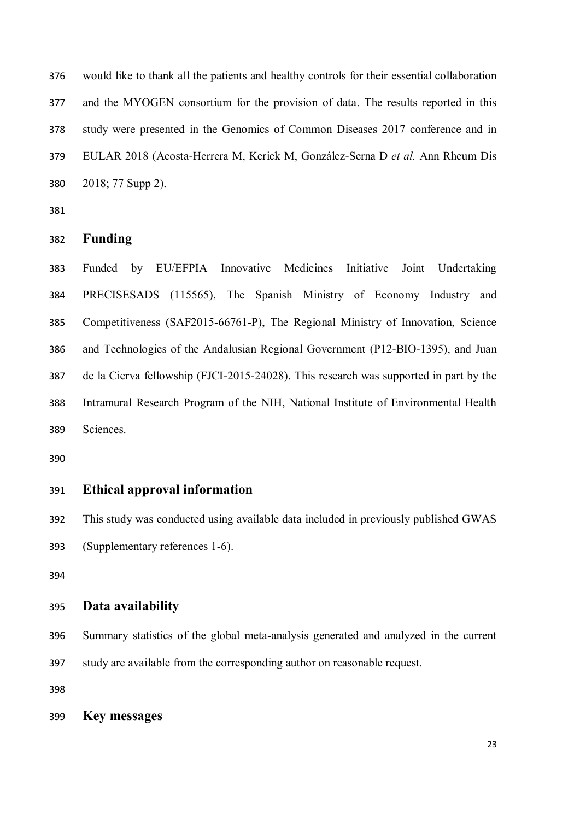would like to thank all the patients and healthy controls for their essential collaboration and the MYOGEN consortium for the provision of data. The results reported in this study were presented in the Genomics of Common Diseases 2017 conference and in EULAR 2018 (Acosta-Herrera M, Kerick M, González-Serna D *et al.* Ann Rheum Dis 2018; 77 Supp 2).

#### **Funding**

 Funded by EU/EFPIA Innovative Medicines Initiative Joint Undertaking PRECISESADS (115565), The Spanish Ministry of Economy Industry and Competitiveness (SAF2015-66761-P), The Regional Ministry of Innovation, Science and Technologies of the Andalusian Regional Government (P12-BIO-1395), and Juan de la Cierva fellowship (FJCI-2015-24028). This research was supported in part by the Intramural Research Program of the NIH, National Institute of Environmental Health Sciences.

## **Ethical approval information**

 This study was conducted using available data included in previously published GWAS (Supplementary references 1-6).

# **Data availability**

 Summary statistics of the global meta-analysis generated and analyzed in the current study are available from the corresponding author on reasonable request.

**Key messages**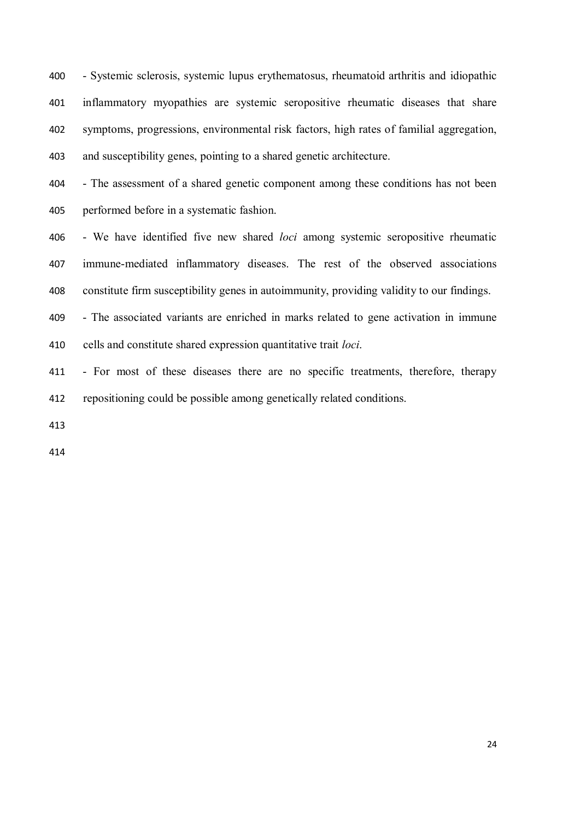- Systemic sclerosis, systemic lupus erythematosus, rheumatoid arthritis and idiopathic inflammatory myopathies are systemic seropositive rheumatic diseases that share symptoms, progressions, environmental risk factors, high rates of familial aggregation, and susceptibility genes, pointing to a shared genetic architecture.

 - The assessment of a shared genetic component among these conditions has not been performed before in a systematic fashion.

 - We have identified five new shared *loci* among systemic seropositive rheumatic immune-mediated inflammatory diseases. The rest of the observed associations constitute firm susceptibility genes in autoimmunity, providing validity to our findings.

 - The associated variants are enriched in marks related to gene activation in immune cells and constitute shared expression quantitative trait *loci*.

 - For most of these diseases there are no specific treatments, therefore, therapy repositioning could be possible among genetically related conditions.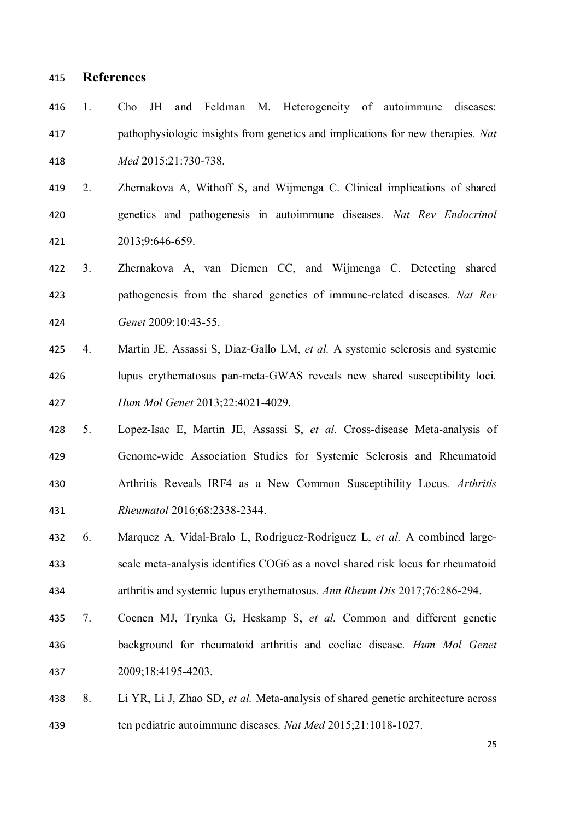## **References**

- 1. Cho JH and Feldman M. Heterogeneity of autoimmune diseases: pathophysiologic insights from genetics and implications for new therapies*. Nat Med* 2015;21:730-738.
- 2. Zhernakova A, Withoff S, and Wijmenga C. Clinical implications of shared genetics and pathogenesis in autoimmune diseases*. Nat Rev Endocrinol* 2013;9:646-659.
- 3. Zhernakova A, van Diemen CC, and Wijmenga C. Detecting shared pathogenesis from the shared genetics of immune-related diseases*. Nat Rev Genet* 2009;10:43-55.
- 4. Martin JE, Assassi S, Diaz-Gallo LM, *et al.* A systemic sclerosis and systemic lupus erythematosus pan-meta-GWAS reveals new shared susceptibility loci*. Hum Mol Genet* 2013;22:4021-4029.
- 5. Lopez-Isac E, Martin JE, Assassi S, *et al.* Cross-disease Meta-analysis of Genome-wide Association Studies for Systemic Sclerosis and Rheumatoid Arthritis Reveals IRF4 as a New Common Susceptibility Locus*. Arthritis Rheumatol* 2016;68:2338-2344.
- 6. Marquez A, Vidal-Bralo L, Rodriguez-Rodriguez L, *et al.* A combined large- scale meta-analysis identifies COG6 as a novel shared risk locus for rheumatoid arthritis and systemic lupus erythematosus*. Ann Rheum Dis* 2017;76:286-294.
- 7. Coenen MJ, Trynka G, Heskamp S, *et al.* Common and different genetic background for rheumatoid arthritis and coeliac disease*. Hum Mol Genet* 2009;18:4195-4203.
- 8. Li YR, Li J, Zhao SD, *et al.* Meta-analysis of shared genetic architecture across ten pediatric autoimmune diseases*. Nat Med* 2015;21:1018-1027.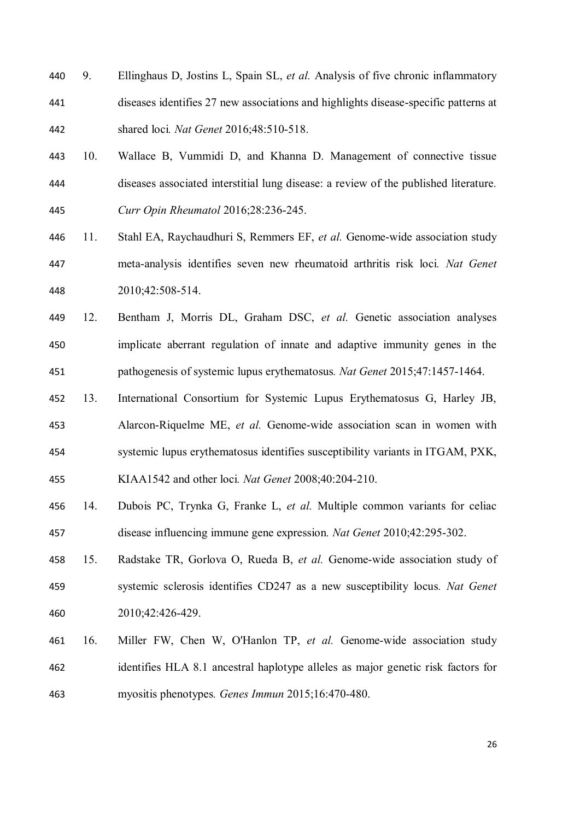- 9. Ellinghaus D, Jostins L, Spain SL, *et al.* Analysis of five chronic inflammatory diseases identifies 27 new associations and highlights disease-specific patterns at shared loci*. Nat Genet* 2016;48:510-518.
- 10. Wallace B, Vummidi D, and Khanna D. Management of connective tissue diseases associated interstitial lung disease: a review of the published literature*. Curr Opin Rheumatol* 2016;28:236-245.
- 11. Stahl EA, Raychaudhuri S, Remmers EF, *et al.* Genome-wide association study meta-analysis identifies seven new rheumatoid arthritis risk loci*. Nat Genet* 2010;42:508-514.
- 12. Bentham J, Morris DL, Graham DSC, *et al.* Genetic association analyses implicate aberrant regulation of innate and adaptive immunity genes in the pathogenesis of systemic lupus erythematosus*. Nat Genet* 2015;47:1457-1464.
- 13. International Consortium for Systemic Lupus Erythematosus G, Harley JB, Alarcon-Riquelme ME, *et al.* Genome-wide association scan in women with systemic lupus erythematosus identifies susceptibility variants in ITGAM, PXK,
- KIAA1542 and other loci*. Nat Genet* 2008;40:204-210.
- 14. Dubois PC, Trynka G, Franke L, *et al.* Multiple common variants for celiac disease influencing immune gene expression*. Nat Genet* 2010;42:295-302.
- 15. Radstake TR, Gorlova O, Rueda B, *et al.* Genome-wide association study of systemic sclerosis identifies CD247 as a new susceptibility locus*. Nat Genet* 2010;42:426-429.
- 16. Miller FW, Chen W, O'Hanlon TP, *et al.* Genome-wide association study identifies HLA 8.1 ancestral haplotype alleles as major genetic risk factors for myositis phenotypes*. Genes Immun* 2015;16:470-480.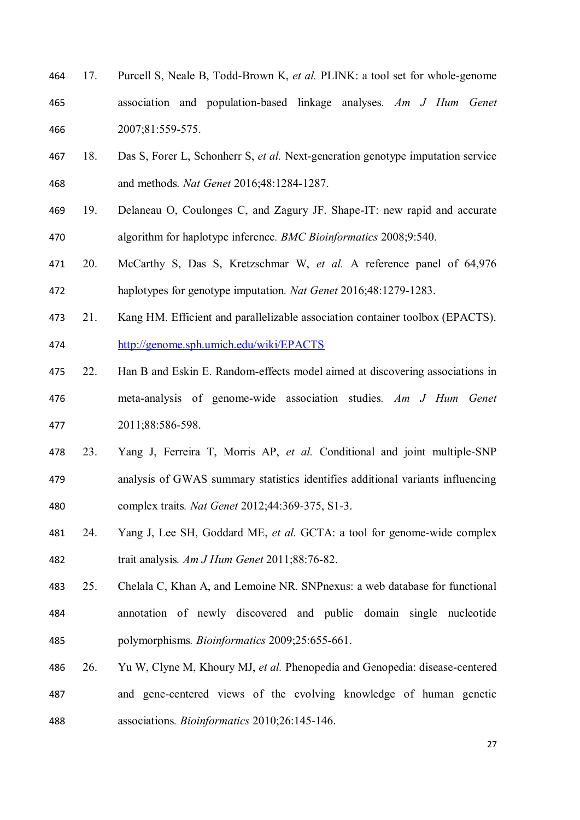- 17. Purcell S, Neale B, Todd-Brown K, *et al.* PLINK: a tool set for whole-genome association and population-based linkage analyses*. Am J Hum Genet* 2007;81:559-575.
- 18. Das S, Forer L, Schonherr S, *et al.* Next-generation genotype imputation service and methods*. Nat Genet* 2016;48:1284-1287.
- 19. Delaneau O, Coulonges C, and Zagury JF. Shape-IT: new rapid and accurate algorithm for haplotype inference*. BMC Bioinformatics* 2008;9:540.
- 20. McCarthy S, Das S, Kretzschmar W, *et al.* A reference panel of 64,976 haplotypes for genotype imputation*. Nat Genet* 2016;48:1279-1283.
- 21. Kang HM. Efficient and parallelizable association container toolbox (EPACTS). http://genome.sph.umich.edu/wiki/EPACTS
- 22. Han B and Eskin E. Random-effects model aimed at discovering associations in meta-analysis of genome-wide association studies*. Am J Hum Genet* 2011;88:586-598.
- 23. Yang J, Ferreira T, Morris AP, *et al.* Conditional and joint multiple-SNP analysis of GWAS summary statistics identifies additional variants influencing complex traits*. Nat Genet* 2012;44:369-375, S1-3.
- 24. Yang J, Lee SH, Goddard ME, *et al.* GCTA: a tool for genome-wide complex trait analysis*. Am J Hum Genet* 2011;88:76-82.
- 25. Chelala C, Khan A, and Lemoine NR. SNPnexus: a web database for functional annotation of newly discovered and public domain single nucleotide polymorphisms*. Bioinformatics* 2009;25:655-661.
- 26. Yu W, Clyne M, Khoury MJ, *et al.* Phenopedia and Genopedia: disease-centered and gene-centered views of the evolving knowledge of human genetic associations*. Bioinformatics* 2010;26:145-146.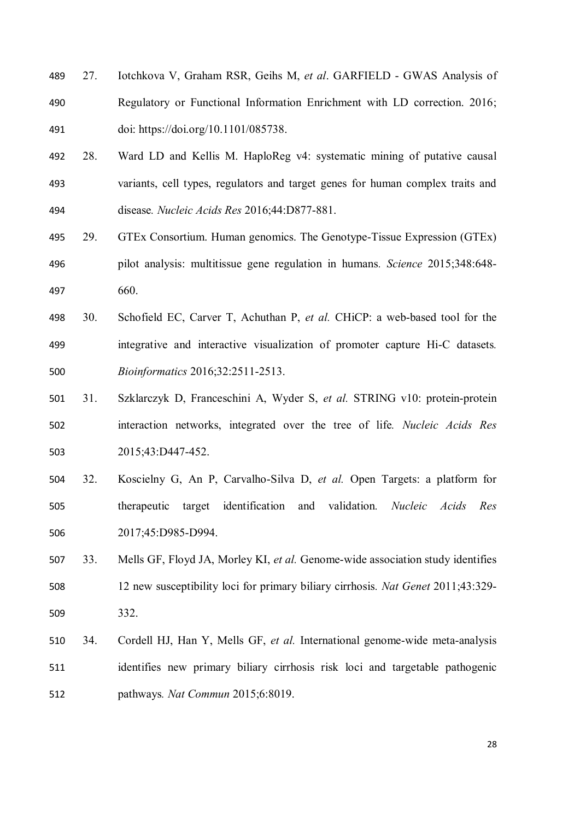- 27. Iotchkova V, Graham RSR, Geihs M, *et al*. GARFIELD GWAS Analysis of Regulatory or Functional Information Enrichment with LD correction. 2016; doi: https://doi.org/10.1101/085738.
- 28. Ward LD and Kellis M. HaploReg v4: systematic mining of putative causal variants, cell types, regulators and target genes for human complex traits and disease*. Nucleic Acids Res* 2016;44:D877-881.
- 29. GTEx Consortium. Human genomics. The Genotype-Tissue Expression (GTEx) pilot analysis: multitissue gene regulation in humans*. Science* 2015;348:648- 660.
- 30. Schofield EC, Carver T, Achuthan P, *et al.* CHiCP: a web-based tool for the integrative and interactive visualization of promoter capture Hi-C datasets*. Bioinformatics* 2016;32:2511-2513.
- 31. Szklarczyk D, Franceschini A, Wyder S, *et al.* STRING v10: protein-protein interaction networks, integrated over the tree of life*. Nucleic Acids Res* 2015;43:D447-452.
- 32. Koscielny G, An P, Carvalho-Silva D, *et al.* Open Targets: a platform for therapeutic target identification and validation*. Nucleic Acids Res* 2017;45:D985-D994.
- 33. Mells GF, Floyd JA, Morley KI, *et al.* Genome-wide association study identifies 12 new susceptibility loci for primary biliary cirrhosis*. Nat Genet* 2011;43:329- 332.
- 34. Cordell HJ, Han Y, Mells GF, *et al.* International genome-wide meta-analysis identifies new primary biliary cirrhosis risk loci and targetable pathogenic pathways*. Nat Commun* 2015;6:8019.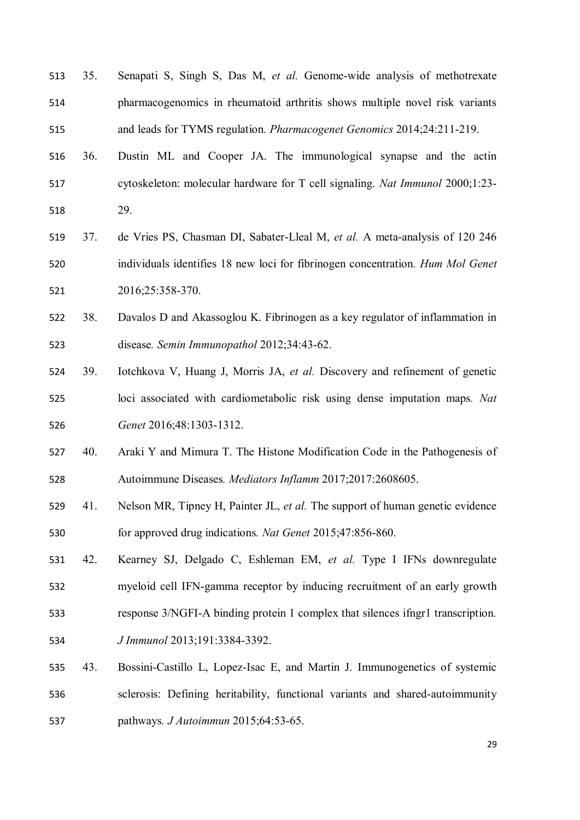35. Senapati S, Singh S, Das M, *et al.* Genome-wide analysis of methotrexate pharmacogenomics in rheumatoid arthritis shows multiple novel risk variants and leads for TYMS regulation*. Pharmacogenet Genomics* 2014;24:211-219. 36. Dustin ML and Cooper JA. The immunological synapse and the actin cytoskeleton: molecular hardware for T cell signaling*. Nat Immunol* 2000;1:23- 29. 37. de Vries PS, Chasman DI, Sabater-Lleal M, *et al.* A meta-analysis of 120 246 individuals identifies 18 new loci for fibrinogen concentration*. Hum Mol Genet* 2016;25:358-370. 38. Davalos D and Akassoglou K. Fibrinogen as a key regulator of inflammation in disease*. Semin Immunopathol* 2012;34:43-62. 39. Iotchkova V, Huang J, Morris JA, *et al.* Discovery and refinement of genetic loci associated with cardiometabolic risk using dense imputation maps*. Nat Genet* 2016;48:1303-1312. 40. Araki Y and Mimura T. The Histone Modification Code in the Pathogenesis of Autoimmune Diseases*. Mediators Inflamm* 2017;2017:2608605. 41. Nelson MR, Tipney H, Painter JL, *et al.* The support of human genetic evidence for approved drug indications*. Nat Genet* 2015;47:856-860. 42. Kearney SJ, Delgado C, Eshleman EM, *et al.* Type I IFNs downregulate myeloid cell IFN-gamma receptor by inducing recruitment of an early growth response 3/NGFI-A binding protein 1 complex that silences ifngr1 transcription*. J Immunol* 2013;191:3384-3392. 43. Bossini-Castillo L, Lopez-Isac E, and Martin J. Immunogenetics of systemic sclerosis: Defining heritability, functional variants and shared-autoimmunity pathways*. J Autoimmun* 2015;64:53-65.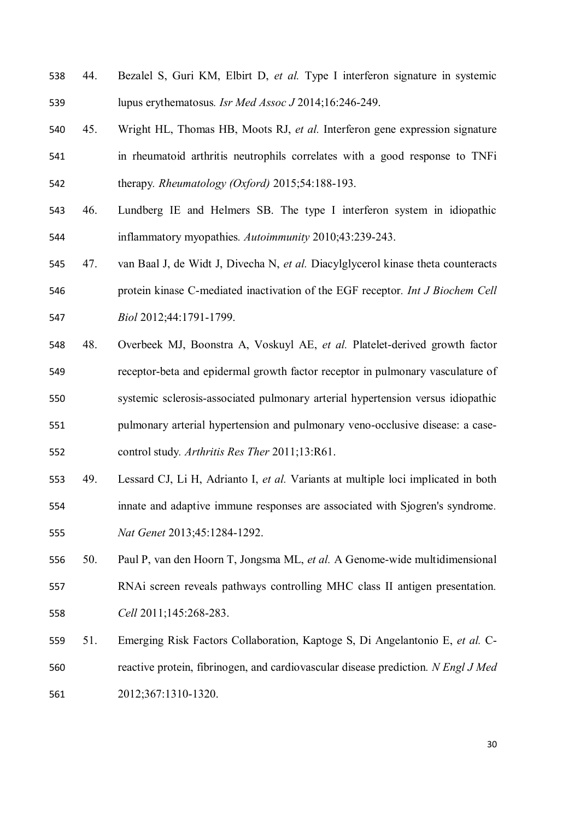- 44. Bezalel S, Guri KM, Elbirt D, *et al.* Type I interferon signature in systemic lupus erythematosus*. Isr Med Assoc J* 2014;16:246-249.
- 45. Wright HL, Thomas HB, Moots RJ, *et al.* Interferon gene expression signature in rheumatoid arthritis neutrophils correlates with a good response to TNFi therapy*. Rheumatology (Oxford)* 2015;54:188-193.
- 46. Lundberg IE and Helmers SB. The type I interferon system in idiopathic inflammatory myopathies*. Autoimmunity* 2010;43:239-243.
- 47. van Baal J, de Widt J, Divecha N, *et al.* Diacylglycerol kinase theta counteracts protein kinase C-mediated inactivation of the EGF receptor*. Int J Biochem Cell Biol* 2012;44:1791-1799.
- 48. Overbeek MJ, Boonstra A, Voskuyl AE, *et al.* Platelet-derived growth factor receptor-beta and epidermal growth factor receptor in pulmonary vasculature of systemic sclerosis-associated pulmonary arterial hypertension versus idiopathic pulmonary arterial hypertension and pulmonary veno-occlusive disease: a case-control study*. Arthritis Res Ther* 2011;13:R61.
- 49. Lessard CJ, Li H, Adrianto I, *et al.* Variants at multiple loci implicated in both innate and adaptive immune responses are associated with Sjogren's syndrome*. Nat Genet* 2013;45:1284-1292.
- 50. Paul P, van den Hoorn T, Jongsma ML, *et al.* A Genome-wide multidimensional RNAi screen reveals pathways controlling MHC class II antigen presentation*. Cell* 2011;145:268-283.
- 51. Emerging Risk Factors Collaboration, Kaptoge S, Di Angelantonio E, *et al.* C- reactive protein, fibrinogen, and cardiovascular disease prediction*. N Engl J Med* 2012;367:1310-1320.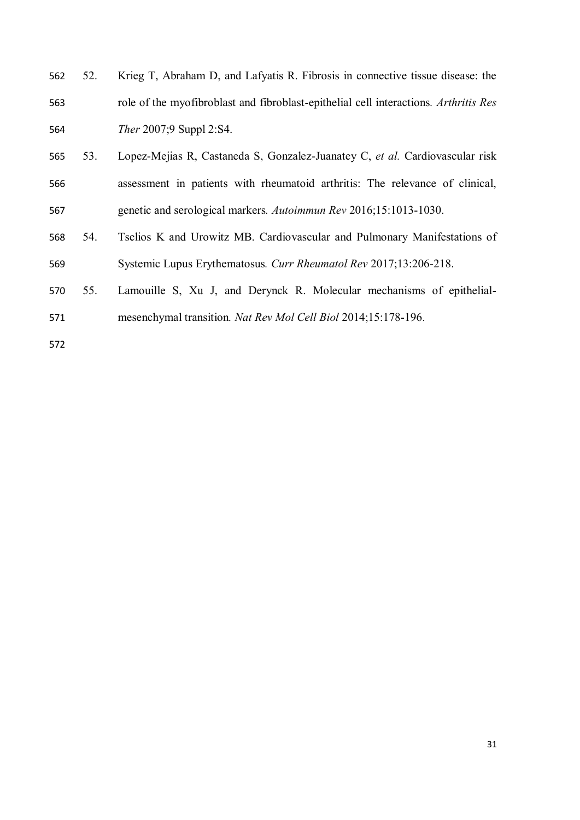- 52. Krieg T, Abraham D, and Lafyatis R. Fibrosis in connective tissue disease: the role of the myofibroblast and fibroblast-epithelial cell interactions*. Arthritis Res Ther* 2007;9 Suppl 2:S4.
- 53. Lopez-Mejias R, Castaneda S, Gonzalez-Juanatey C, *et al.* Cardiovascular risk assessment in patients with rheumatoid arthritis: The relevance of clinical, genetic and serological markers*. Autoimmun Rev* 2016;15:1013-1030.
- 54. Tselios K and Urowitz MB. Cardiovascular and Pulmonary Manifestations of Systemic Lupus Erythematosus*. Curr Rheumatol Rev* 2017;13:206-218.
- 55. Lamouille S, Xu J, and Derynck R. Molecular mechanisms of epithelial-
- mesenchymal transition*. Nat Rev Mol Cell Biol* 2014;15:178-196.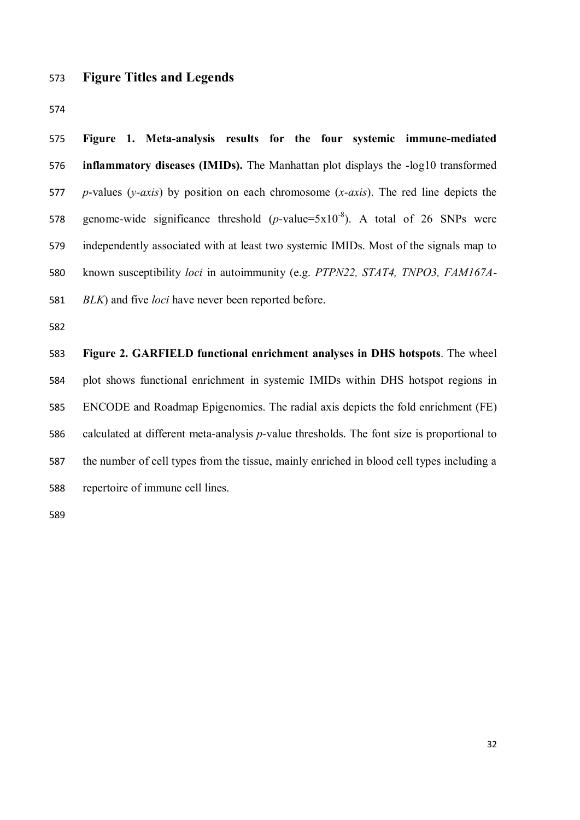## **Figure Titles and Legends**

 **Figure 1. Meta-analysis results for the four systemic immune-mediated inflammatory diseases (IMIDs).** The Manhattan plot displays the -log10 transformed *p*-values (*y-axis*) by position on each chromosome (*x-axis*). The red line depicts the 578 genome-wide significance threshold  $(p$ -value=5x10<sup>-8</sup>). A total of 26 SNPs were independently associated with at least two systemic IMIDs. Most of the signals map to known susceptibility *loci* in autoimmunity (e.g. *PTPN22, STAT4, TNPO3, FAM167A-BLK*) and five *loci* have never been reported before.

 **Figure 2. GARFIELD functional enrichment analyses in DHS hotspots**. The wheel plot shows functional enrichment in systemic IMIDs within DHS hotspot regions in ENCODE and Roadmap Epigenomics. The radial axis depicts the fold enrichment (FE) calculated at different meta-analysis *p*-value thresholds. The font size is proportional to the number of cell types from the tissue, mainly enriched in blood cell types including a repertoire of immune cell lines.